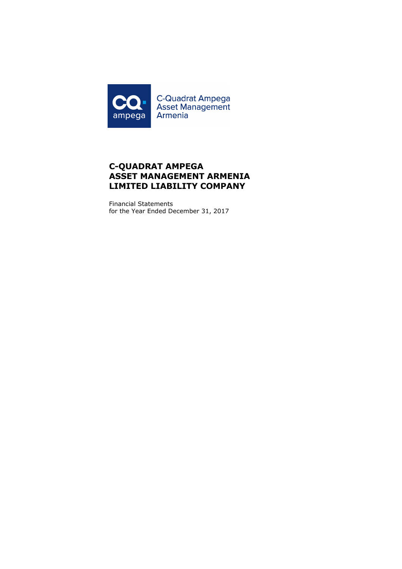

# **C-QUADRAT AMPEGA ASSET MANAGEMENT ARMENIA LIMITED LIABILITY COMPANY**

Financial Statements for the Year Ended December 31, 2017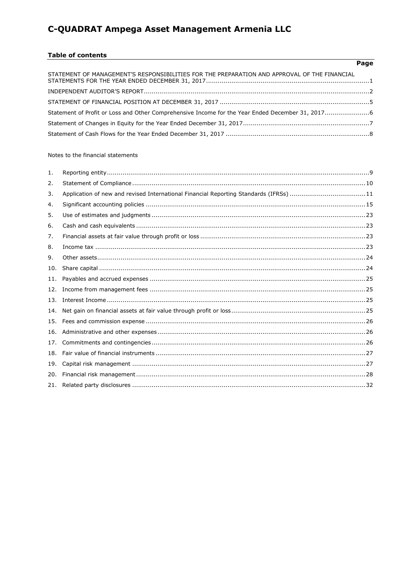# **Table of contents**

|                                                                                              | Page |
|----------------------------------------------------------------------------------------------|------|
| STATEMENT OF MANAGEMENT'S RESPONSIBILITIES FOR THE PREPARATION AND APPROVAL OF THE FINANCIAL |      |
|                                                                                              |      |
|                                                                                              |      |
|                                                                                              |      |
|                                                                                              |      |
|                                                                                              |      |

#### Notes to the financial statements

| 1.  |                                                                                       |  |
|-----|---------------------------------------------------------------------------------------|--|
| 2.  |                                                                                       |  |
| 3.  | Application of new and revised International Financial Reporting Standards (IFRSs) 11 |  |
| 4.  |                                                                                       |  |
| 5.  |                                                                                       |  |
| 6.  |                                                                                       |  |
| 7.  |                                                                                       |  |
| 8.  |                                                                                       |  |
| 9.  |                                                                                       |  |
| 10. |                                                                                       |  |
| 11. |                                                                                       |  |
| 12. |                                                                                       |  |
| 13. |                                                                                       |  |
| 14. |                                                                                       |  |
| 15. |                                                                                       |  |
| 16. |                                                                                       |  |
| 17. |                                                                                       |  |
| 18. |                                                                                       |  |
| 19. |                                                                                       |  |
| 20. |                                                                                       |  |
| 21. |                                                                                       |  |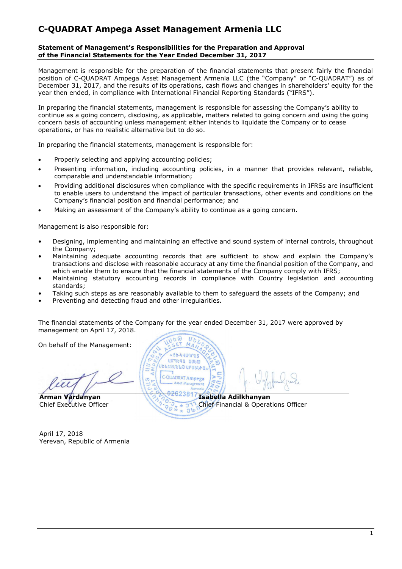### <span id="page-2-1"></span><span id="page-2-0"></span>**Statement of Management's Responsibilities for the Preparation and Approval of the Financial Statements for the Year Ended December 31, 2017**

Management is responsible for the preparation of the financial statements that present fairly the financial position of C-QUADRAT Ampega Asset Management Armenia LLC (the "Company" or "C-QUADRAT") as of December 31, 2017, and the results of its operations, cash flows and changes in shareholders' equity for the year then ended, in compliance with International Financial Reporting Standards ("IFRS").

In preparing the financial statements, management is responsible for assessing the Company's ability to continue as a going concern, disclosing, as applicable, matters related to going concern and using the going concern basis of accounting unless management either intends to liquidate the Company or to cease operations, or has no realistic alternative but to do so.

In preparing the financial statements, management is responsible for:

- Properly selecting and applying accounting policies;
- Presenting information, including accounting policies, in a manner that provides relevant, reliable, comparable and understandable information;
- Providing additional disclosures when compliance with the specific requirements in IFRSs are insufficient to enable users to understand the impact of particular transactions, other events and conditions on the Company's financial position and financial performance; and
- Making an assessment of the Company's ability to continue as a going concern.

Management is also responsible for:

- Designing, implementing and maintaining an effective and sound system of internal controls, throughout the Company;
- Maintaining adequate accounting records that are sufficient to show and explain the Company's transactions and disclose with reasonable accuracy at any time the financial position of the Company, and which enable them to ensure that the financial statements of the Company comply with IFRS;
- Maintaining statutory accounting records in compliance with Country legislation and accounting standards;
- Taking such steps as are reasonably available to them to safeguard the assets of the Company; and
- Preventing and detecting fraud and other irregularities.

The financial statements of the Company for the year ended December 31, 2017 were approved by management on April 17, 2018.

> G  $M_A$ «ВЬ-ЧЧИЛЛИS uumbau uuba **DPPSARPS NURPHI** C-QUADRAT Ampega et Manad

 $U_{U}$ 

On behalf of the Management:

**Arman Vardanyan** Chief Executive Officer

381 **Isabella Adilkhanyan** Chief Financial & Operations Officer  $8<sup>2</sup>$  $JU$  $\frac{1}{2C}$ 

April 17, 2018 Yerevan, Republic of Armenia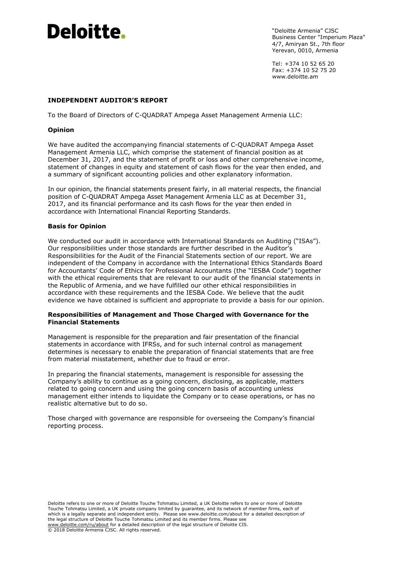

"Deloitte Armenia" CJSC Business Center "Imperium Plaza" 4/7, Amiryan St., 7th floor Yerevan, 0010, Armenia

Tel: +374 10 52 65 20 Fax: +374 10 52 75 20 www.deloitte.am

## <span id="page-3-0"></span>**INDEPENDENT AUDITOR'S REPORT**

To the Board of Directors of C-QUADRAT Ampega Asset Management Armenia LLC:

#### **Opinion**

We have audited the accompanying financial statements of C-QUADRAT Ampega Asset Management Armenia LLC, which comprise the statement of financial position as at December 31, 2017, and the statement of profit or loss and other comprehensive income, statement of changes in equity and statement of cash flows for the year then ended, and a summary of significant accounting policies and other explanatory information.

In our opinion, the financial statements present fairly, in all material respects, the financial position of C-QUADRAT Ampega Asset Management Armenia LLC as at December 31, 2017, and its financial performance and its cash flows for the year then ended in accordance with International Financial Reporting Standards.

#### **Basis for Opinion**

We conducted our audit in accordance with International Standards on Auditing ("ISAs"). Our responsibilities under those standards are further described in the Auditor's Responsibilities for the Audit of the Financial Statements section of our report. We are independent of the Company in accordance with the International Ethics Standards Board for Accountants' Code of Ethics for Professional Accountants (the "IESBA Code") together with the ethical requirements that are relevant to our audit of the financial statements in the Republic of Armenia, and we have fulfilled our other ethical responsibilities in accordance with these requirements and the IESBA Code. We believe that the audit evidence we have obtained is sufficient and appropriate to provide a basis for our opinion.

#### **Responsibilities of Management and Those Charged with Governance for the Financial Statements**

Management is responsible for the preparation and fair presentation of the financial statements in accordance with IFRSs, and for such internal control as management determines is necessary to enable the preparation of financial statements that are free from material misstatement, whether due to fraud or error.

In preparing the financial statements, management is responsible for assessing the Company's ability to continue as a going concern, disclosing, as applicable, matters related to going concern and using the going concern basis of accounting unless management either intends to liquidate the Company or to cease operations, or has no realistic alternative but to do so.

Those charged with governance are responsible for overseeing the Company's financial reporting process.

Deloitte refers to one or more of Deloitte Touche Tohmatsu Limited, a UK Deloitte refers to one or more of Deloitte Touche Tohmatsu Limited, a UK private company limited by guarantee, and its network of member firms, each of which is a legally separate and independent entity. Please see www.deloitte.com/about for a detailed description of the legal structure of Deloitte Touche Tohmatsu Limited and its member firms. Please see [www.deloitte.com/ru/about](file:///C:/Users/lmkhitaryan/Documents/www.deloitte.com/ru/about) for a detailed description of the legal structure of Deloitte CIS. © 2018 Deloitte Armenia CJSC. All rights reserved.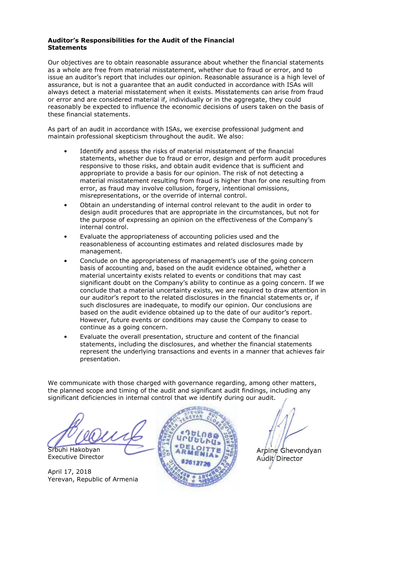### **Auditor's Responsibilities for the Audit of the Financial Statements**

Our objectives are to obtain reasonable assurance about whether the financial statements as a whole are free from material misstatement, whether due to fraud or error, and to issue an auditor's report that includes our opinion. Reasonable assurance is a high level of assurance, but is not a guarantee that an audit conducted in accordance with ISAs will always detect a material misstatement when it exists. Misstatements can arise from fraud or error and are considered material if, individually or in the aggregate, they could reasonably be expected to influence the economic decisions of users taken on the basis of these financial statements.

As part of an audit in accordance with ISAs, we exercise professional judgment and maintain professional skepticism throughout the audit. We also:

- Identify and assess the risks of material misstatement of the financial statements, whether due to fraud or error, design and perform audit procedures responsive to those risks, and obtain audit evidence that is sufficient and appropriate to provide a basis for our opinion. The risk of not detecting a material misstatement resulting from fraud is higher than for one resulting from error, as fraud may involve collusion, forgery, intentional omissions, misrepresentations, or the override of internal control.
- Obtain an understanding of internal control relevant to the audit in order to design audit procedures that are appropriate in the circumstances, but not for the purpose of expressing an opinion on the effectiveness of the Company's internal control.
- Evaluate the appropriateness of accounting policies used and the reasonableness of accounting estimates and related disclosures made by management.
- Conclude on the appropriateness of management's use of the going concern basis of accounting and, based on the audit evidence obtained, whether a material uncertainty exists related to events or conditions that may cast significant doubt on the Company's ability to continue as a going concern. If we conclude that a material uncertainty exists, we are required to draw attention in our auditor's report to the related disclosures in the financial statements or, if such disclosures are inadequate, to modify our opinion. Our conclusions are based on the audit evidence obtained up to the date of our auditor's report. However, future events or conditions may cause the Company to cease to continue as a going concern.
- Evaluate the overall presentation, structure and content of the financial statements, including the disclosures, and whether the financial statements represent the underlying transactions and events in a manner that achieves fair presentation.

We communicate with those charged with governance regarding, among other matters, the planned scope and timing of the audit and significant audit findings, including any significant deficiencies in internal control that we identify during our audit.

Srbuhi Hakobyan

Executive Director

April 17, 2018 Yerevan, Republic of Armenia



Arpine Ghevondyan Audit Director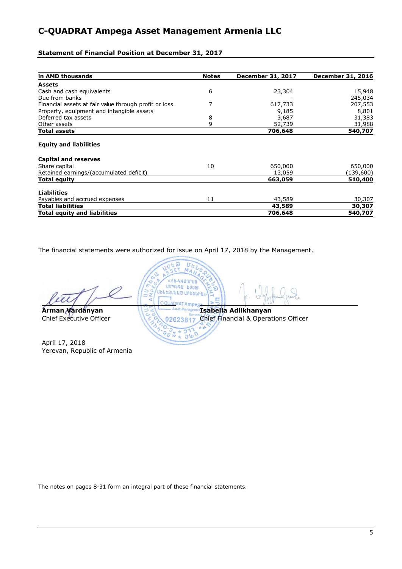# <span id="page-6-0"></span>**Statement of Financial Position at December 31, 2017**

| in AMD thousands                                             | <b>Notes</b> | December 31, 2017 | December 31, 2016 |
|--------------------------------------------------------------|--------------|-------------------|-------------------|
| <b>Assets</b>                                                |              |                   |                   |
| Cash and cash equivalents                                    | 6            | 23,304            | 15,948            |
| Due from banks                                               |              |                   | 245,034           |
| Financial assets at fair value through profit or loss        | 7            | 617,733           | 207,553           |
| Property, equipment and intangible assets                    |              | 9,185             | 8,801             |
| Deferred tax assets                                          | 8            | 3,687             | 31,383            |
| Other assets                                                 | 9            | 52,739            | 31,988            |
| <b>Total assets</b>                                          |              | 706,648           | 540,707           |
| <b>Equity and liabilities</b><br><b>Capital and reserves</b> |              |                   |                   |
| Share capital                                                | 10           | 650,000           | 650,000           |
| Retained earnings/(accumulated deficit)                      |              | 13,059            | (139,600)         |
| Total equity                                                 |              | 663,059           | 510,400           |
| <b>Liabilities</b>                                           |              |                   |                   |
| Payables and accrued expenses                                | 11           | 43,589            | 30,307            |
| <b>Total liabilities</b>                                     |              | 43,589            | 30,307            |
| <b>Total equity and liabilities</b>                          |              | 706,648           | 540,707           |

The financial statements were authorized for issue on April 17, 2018 by the Management.

 $U_{G}$ G  $M_A$ «Bb-44U9PUS adun neamnu บชนชนาย นายของชน

 $\overline{a}$ 

iel **Arman Vardanyan**

Chief Executive Officer

April 17, 2018 Yerevan, Republic of Armenia **ISBN Ampega 2008 1988**<br>Asset Management Sabella Adilkhanyan Chief Financial & Operations Officer 02623817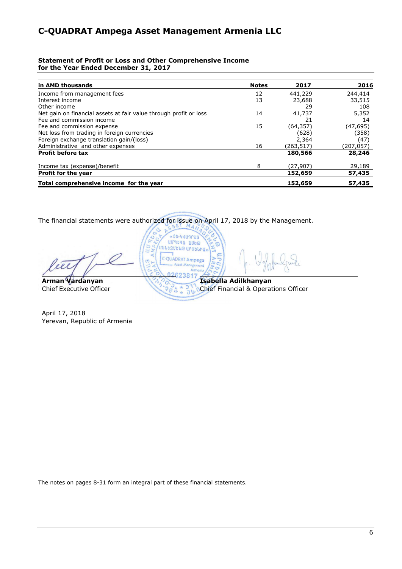#### <span id="page-7-1"></span><span id="page-7-0"></span>**Statement of Profit or Loss and Other Comprehensive Income for the Year Ended December 31, 2017**

| in AMD thousands                                                  | <b>Notes</b> | 2017      | 2016      |
|-------------------------------------------------------------------|--------------|-----------|-----------|
| Income from management fees                                       | 12           | 441,229   | 244,414   |
| Interest income                                                   | 13           | 23,688    | 33,515    |
| Other income                                                      |              | 29        | 108       |
| Net gain on financial assets at fair value through profit or loss | 14           | 41,737    | 5,352     |
| Fee and commission income                                         |              | 21        | 14        |
| Fee and commission expense                                        | 15           | (64, 357) | (47,695)  |
| Net loss from trading in foreign currencies                       |              | (628)     | (358)     |
| Foreign exchange translation gain/(loss)                          |              | 2,364     | (47)      |
| Administrative and other expenses                                 | 16           | (263,517) | (207,057) |
| <b>Profit before tax</b>                                          |              | 180,566   | 28,246    |
| Income tax (expense)/benefit                                      | 8            | (27, 907) | 29,189    |
| <b>Profit for the year</b>                                        |              | 152,659   | 57,435    |
| Total comprehensive income for the year                           |              | 152,659   | 57,435    |

The financial statements were authorized for issue on April 17, 2018 by the Management.

«Bb-44U9PUS **UU**ntau uuta **OPPESAPPS NURPHAT** C-QUADRAT Ampega

Asset Mar

ć

 $98.2$ 

rt

**Arman Vardanyan** Chief Executive Officer

April 17, 2018 Yerevan, Republic of Armenia 2623817 **Isabella Adilkhanyan**  $\frac{5}{36}$  $\frac{1}{2\pi}$ **Chief Financial & Operations Officer**  $\frac{1}{2\pi}$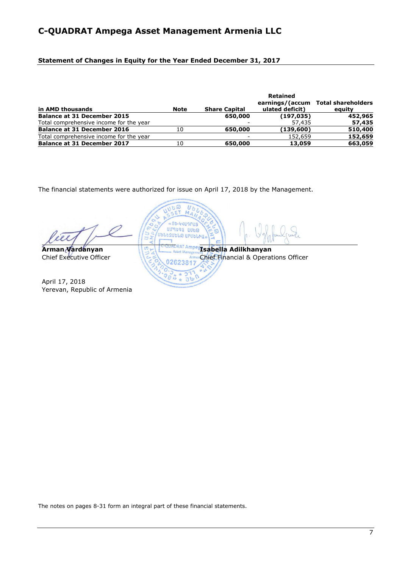# <span id="page-8-0"></span>**Statement of Changes in Equity for the Year Ended December 31, 2017**

| in AMD thousands                        | <b>Note</b> | <b>Share Capital</b> | Retained<br>ulated deficit) | earnings/(accum Total shareholders<br>eauity |
|-----------------------------------------|-------------|----------------------|-----------------------------|----------------------------------------------|
| <b>Balance at 31 December 2015</b>      |             | 650,000              | (197, 035)                  | 452,965                                      |
| Total comprehensive income for the year |             |                      | 57,435                      | 57,435                                       |
| <b>Balance at 31 December 2016</b>      | 10          | 650,000              | (139,600)                   | 510,400                                      |
| Total comprehensive income for the year |             |                      | 152,659                     | 152,659                                      |
| <b>Balance at 31 December 2017</b>      | 10          | 650,000              | 13,059                      | 663,059                                      |

The financial statements were authorized for issue on April 17, 2018 by the Management.

iel

**Arman Vardanyan** Chief Executive Officer

April 17, 2018 Yerevan, Republic of Armenia

Ð «Bb-44U9PUS uumbau uuta นของออกอ แบบของ

**AT Ampe Isabella Adilkhanyan** Ø Chief Financial & Operations Officer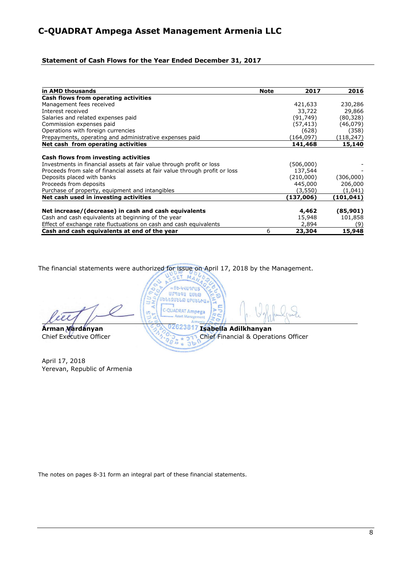# <span id="page-9-0"></span>**Statement of Cash Flows for the Year Ended December 31, 2017**

| in AMD thousands                                                            | <b>Note</b> | 2017      | 2016      |
|-----------------------------------------------------------------------------|-------------|-----------|-----------|
| Cash flows from operating activities                                        |             |           |           |
| Management fees received                                                    |             | 421,633   | 230,286   |
| Interest received                                                           |             | 33,722    | 29,866    |
| Salaries and related expenses paid                                          |             | (91, 749) | (80, 328) |
| Commission expenses paid                                                    |             | (57, 413) | (46,079)  |
| Operations with foreign currencies                                          |             | (628)     | (358)     |
| Prepayments, operating and administrative expenses paid                     |             | (164,097) | (118,247) |
| Net cash from operating activities                                          |             | 141,468   | 15,140    |
|                                                                             |             |           |           |
| Cash flows from investing activities                                        |             |           |           |
| Investments in financial assets at fair value through profit or loss        |             | (506,000) |           |
| Proceeds from sale of financial assets at fair value through profit or loss |             | 137,544   |           |
| Deposits placed with banks                                                  |             | (210,000) | (306,000) |
| Proceeds from deposits                                                      |             | 445,000   | 206,000   |
| Purchase of property, equipment and intangibles                             |             | (3,550)   | (1,041)   |
| Net cash used in investing activities                                       |             | (137,006) | (101,041) |
| Net increase/(decrease) in cash and cash equivalents                        |             | 4,462     | (85, 901) |
| Cash and cash equivalents at beginning of the year                          |             | 15,948    | 101,858   |
| Effect of exchange rate fluctuations on cash and cash equivalents           |             | 2,894     | (9)       |
| Cash and cash equivalents at end of the year                                | 6           | 23,304    | 15,948    |

The financial statements were authorized for issue on April 17, 2018 by the Management.

Ò

 $8\frac{h}{22}$ 

11

**Arman Vardanyan** Chief Executive Officer

April 17, 2018 Yerevan, Republic of Armenia

ВÅ «Bb-44U9PUS uumbau uuba **UBUBSUBUR UPUBUPU.** C-QUADRAT Ampega ch) Asset Mar

ide

ų,

**Isabella Adilkhanyan** Chief Financial & Operations Officer o JW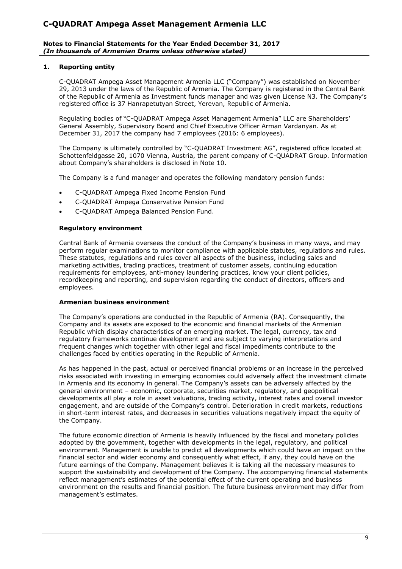#### **Notes to Financial Statements for the Year Ended December 31, 2017** *(In thousands of Armenian Drams unless otherwise stated)*

# <span id="page-10-0"></span>**1. Reporting entity**

C-QUADRAT Ampega Asset Management Armenia LLC ("Company") was established on November 29, 2013 under the laws of the Republic of Armenia. The Company is registered in the Central Bank of the Republic of Armenia as Investment funds manager and was given License N3. The Company's registered office is 37 Hanrapetutyan Street, Yerevan, Republic of Armenia.

Regulating bodies of "C-QUADRAT Ampega Asset Management Armenia" LLC are Shareholders' General Assembly, Supervisory Board and Chief Executive Officer Arman Vardanyan. As at December 31, 2017 the company had 7 employees (2016: 6 employees).

The Company is ultimately controlled by "C-QUADRAT Investment AG", registered office located at Schottenfeldgasse 20, 1070 Vienna, Austria, the parent company of C-QUADRAT Group. Information about Company's shareholders is disclosed in Note 10.

The Company is a fund manager and operates the following mandatory pension funds:

- C-QUADRAT Ampega Fixed Income Pension Fund
- C-QUADRAT Ampega Conservative Pension Fund
- C-QUADRAT Ampega Balanced Pension Fund.

### **Regulatory environment**

Central Bank of Armenia oversees the conduct of the Company's business in many ways, and may perform regular examinations to monitor compliance with applicable statutes, regulations and rules. These statutes, regulations and rules cover all aspects of the business, including sales and marketing activities, trading practices, treatment of customer assets, continuing education requirements for employees, anti-money laundering practices, know your client policies, recordkeeping and reporting, and supervision regarding the conduct of directors, officers and employees.

### **Armenian business environment**

The Company's operations are conducted in the Republic of Armenia (RA). Consequently, the Company and its assets are exposed to the economic and financial markets of the Armenian Republic which display characteristics of an emerging market. The legal, currency, tax and regulatory frameworks continue development and are subject to varying interpretations and frequent changes which together with other legal and fiscal impediments contribute to the challenges faced by entities operating in the Republic of Armenia.

As has happened in the past, actual or perceived financial problems or an increase in the perceived risks associated with investing in emerging economies could adversely affect the investment climate in Armenia and its economy in general. The Company's assets can be adversely affected by the general environment – economic, corporate, securities market, regulatory, and geopolitical developments all play a role in asset valuations, trading activity, interest rates and overall investor engagement, and are outside of the Company's control. Deterioration in credit markets, reductions in short-term interest rates, and decreases in securities valuations negatively impact the equity of the Company.

The future economic direction of Armenia is heavily influenced by the fiscal and monetary policies adopted by the government, together with developments in the legal, regulatory, and political environment. Management is unable to predict all developments which could have an impact on the financial sector and wider economy and consequently what effect, if any, they could have on the future earnings of the Company. Management believes it is taking all the necessary measures to support the sustainability and development of the Company. The accompanying financial statements reflect management's estimates of the potential effect of the current operating and business environment on the results and financial position. The future business environment may differ from management's estimates.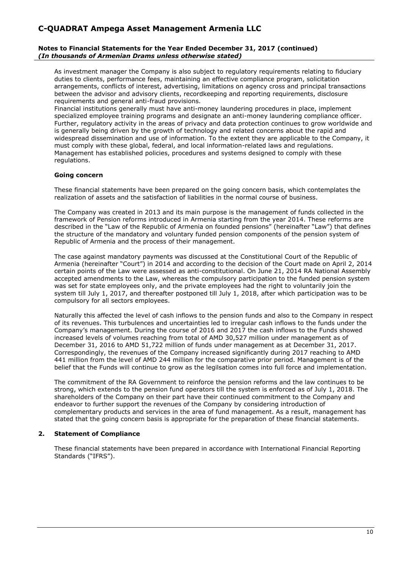#### **Notes to Financial Statements for the Year Ended December 31, 2017 (continued)** *(In thousands of Armenian Drams unless otherwise stated)*

As investment manager the Company is also subject to regulatory requirements relating to fiduciary duties to clients, performance fees, maintaining an effective compliance program, solicitation arrangements, conflicts of interest, advertising, limitations on agency cross and principal transactions between the advisor and advisory clients, recordkeeping and reporting requirements, disclosure requirements and general anti-fraud provisions.

Financial institutions generally must have anti-money laundering procedures in place, implement specialized employee training programs and designate an anti-money laundering compliance officer. Further, regulatory activity in the areas of privacy and data protection continues to grow worldwide and is generally being driven by the growth of technology and related concerns about the rapid and widespread dissemination and use of information. To the extent they are applicable to the Company, it must comply with these global, federal, and local information-related laws and regulations. Management has established policies, procedures and systems designed to comply with these regulations.

# **Going concern**

These financial statements have been prepared on the going concern basis, which contemplates the realization of assets and the satisfaction of liabilities in the normal course of business.

The Company was created in 2013 and its main purpose is the management of funds collected in the framework of Pension reforms introduced in Armenia starting from the year 2014. These reforms are described in the "Law of the Republic of Armenia on founded pensions" (hereinafter "Law") that defines the structure of the mandatory and voluntary funded pension components of the pension system of Republic of Armenia and the process of their management.

The case against mandatory payments was discussed at the Constitutional Court of the Republic of Armenia (hereinafter "Court") in 2014 and according to the decision of the Court made on April 2, 2014 certain points of the Law were assessed as anti-constitutional. On June 21, 2014 RA National Assembly accepted amendments to the Law, whereas the compulsory participation to the funded pension system was set for state employees only, and the private employees had the right to voluntarily join the system till July 1, 2017, and thereafter postponed till July 1, 2018, after which participation was to be compulsory for all sectors employees.

Naturally this affected the level of cash inflows to the pension funds and also to the Company in respect of its revenues. This turbulences and uncertainties led to irregular cash inflows to the funds under the Company's management. During the course of 2016 and 2017 the cash inflows to the Funds showed increased levels of volumes reaching from total of AMD 30,527 million under management as of December 31, 2016 to AMD 51,722 million of funds under management as at December 31, 2017. Correspondingly, the revenues of the Company increased significantly during 2017 reaching to AMD 441 million from the level of AMD 244 million for the comparative prior period. Management is of the belief that the Funds will continue to grow as the legilsation comes into full force and implementation.

The commitment of the RA Government to reinforce the pension reforms and the law continues to be strong, which extends to the pension fund operators till the system is enforced as of July 1, 2018. The shareholders of the Company on their part have their continued commitment to the Company and endeavor to further support the revenues of the Company by considering introduction of complementary products and services in the area of fund management. As a result, management has stated that the going concern basis is appropriate for the preparation of these financial statements.

# <span id="page-11-0"></span>**2. Statement of Compliance**

These financial statements have been prepared in accordance with International Financial Reporting Standards ("IFRS").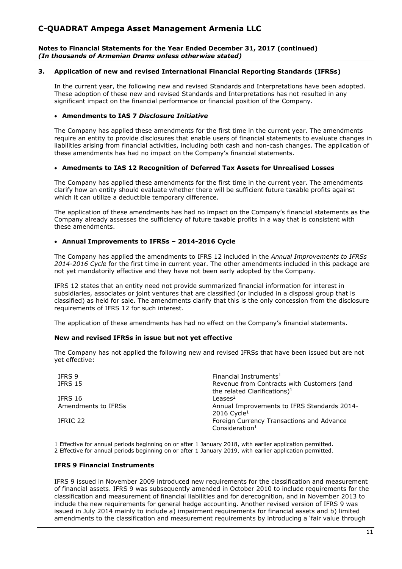**Notes to Financial Statements for the Year Ended December 31, 2017 (continued)** *(In thousands of Armenian Drams unless otherwise stated)* 

# <span id="page-12-0"></span>**3. Application of new and revised International Financial Reporting Standards (IFRSs)**

In the current year, the following new and revised Standards and Interpretations have been adopted. These adoption of these new and revised Standards and Interpretations has not resulted in any significant impact on the financial performance or financial position of the Company.

# **Amendments to IAS 7** *Disclosure Initiative*

The Company has applied these amendments for the first time in the current year. The amendments require an entity to provide disclosures that enable users of financial statements to evaluate changes in liabilities arising from financial activities, including both cash and non-cash changes. The application of these amendments has had no impact on the Company's financial statements.

### **Amedments to IAS 12 Recognition of Deferred Tax Assets for Unrealised Losses**

The Company has applied these amendments for the first time in the current year. The amendments clarify how an entity should evaluate whether there will be sufficient future taxable profits against which it can utilize a deductible temporary difference.

The application of these amendments has had no impact on the Company's financial statements as the Company already assesses the sufficiency of future taxable profits in a way that is consistent with these amendments.

# **Annual Improvements to IFRSs – 2014-2016 Cycle**

The Company has applied the amendments to IFRS 12 included in the *Annual Improvements to IFRSs 2014-2016 Cycle* for the first time in current year. The other amendments included in this package are not yet mandatorily effective and they have not been early adopted by the Company.

IFRS 12 states that an entity need not provide summarized financial information for interest in subsidiaries, associates or joint ventures that are classified (or included in a disposal group that is classified) as held for sale. The amendments clarify that this is the only concession from the disclosure requirements of IFRS 12 for such interest.

The application of these amendments has had no effect on the Company's financial statements.

# **New and revised IFRSs in issue but not yet effective**

The Company has not applied the following new and revised IFRSs that have been issued but are not yet effective:

| Revenue from Contracts with Customers (and  |
|---------------------------------------------|
|                                             |
| Annual Improvements to IFRS Standards 2014- |
| Foreign Currency Transactions and Advance   |
|                                             |

1 Effective for annual periods beginning on or after 1 January 2018, with earlier application permitted. 2 Effective for annual periods beginning on or after 1 January 2019, with earlier application permitted.

## **IFRS 9 Financial Instruments**

IFRS 9 issued in November 2009 introduced new requirements for the classification and measurement of financial assets. IFRS 9 was subsequently amended in October 2010 to include requirements for the classification and measurement of financial liabilities and for derecognition, and in November 2013 to include the new requirements for general hedge accounting. Another revised version of IFRS 9 was issued in July 2014 mainly to include a) impairment requirements for financial assets and b) limited amendments to the classification and measurement requirements by introducing a 'fair value through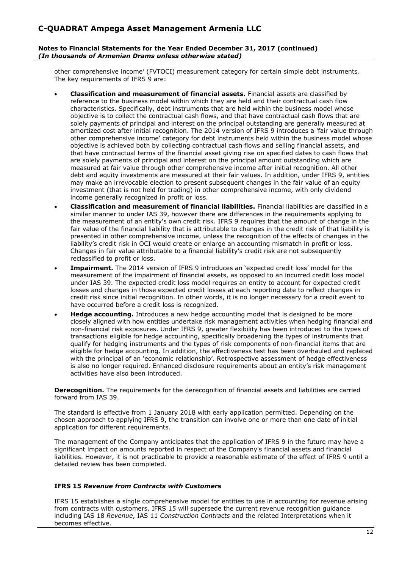### **Notes to Financial Statements for the Year Ended December 31, 2017 (continued)** *(In thousands of Armenian Drams unless otherwise stated)*

other comprehensive income' (FVTOCI) measurement category for certain simple debt instruments. The key requirements of IFRS 9 are:

- **Classification and measurement of financial assets.** Financial assets are classified by reference to the business model within which they are held and their contractual cash flow characteristics. Specifically, debt instruments that are held within the business model whose objective is to collect the contractual cash flows, and that have contractual cash flows that are solely payments of principal and interest on the principal outstanding are generally measured at amortized cost after initial recognition. The 2014 version of IFRS 9 introduces a 'fair value through other comprehensive income' category for debt instruments held within the business model whose objective is achieved both by collecting contractual cash flows and selling financial assets, and that have contractual terms of the financial asset giving rise on specified dates to cash flows that are solely payments of principal and interest on the principal amount outstanding which are measured at fair value through other comprehensive income after initial recognition. All other debt and equity investments are measured at their fair values. In addition, under IFRS 9, entities may make an irrevocable election to present subsequent changes in the fair value of an equity investment (that is not held for trading) in other comprehensive income, with only dividend income generally recognized in profit or loss.
- **Classification and measurement of financial liabilities.** Financial liabilities are classified in a similar manner to under IAS 39, however there are differences in the requirements applying to the measurement of an entity's own credit risk. IFRS 9 requires that the amount of change in the fair value of the financial liability that is attributable to changes in the credit risk of that liability is presented in other comprehensive income, unless the recognition of the effects of changes in the liability's credit risk in OCI would create or enlarge an accounting mismatch in profit or loss. Changes in fair value attributable to a financial liability's credit risk are not subsequently reclassified to profit or loss.
- **Impairment.** The 2014 version of IFRS 9 introduces an 'expected credit loss' model for the measurement of the impairment of financial assets, as opposed to an incurred credit loss model under IAS 39. The expected credit loss model requires an entity to account for expected credit losses and changes in those expected credit losses at each reporting date to reflect changes in credit risk since initial recognition. In other words, it is no longer necessary for a credit event to have occurred before a credit loss is recognized.
- **Hedge accounting.** Introduces a new hedge accounting model that is designed to be more closely aligned with how entities undertake risk management activities when hedging financial and non-financial risk exposures. Under IFRS 9, greater flexibility has been introduced to the types of transactions eligible for hedge accounting, specifically broadening the types of instruments that qualify for hedging instruments and the types of risk components of non-financial items that are eligible for hedge accounting. In addition, the effectiveness test has been overhauled and replaced with the principal of an 'economic relationship'. Retrospective assessment of hedge effectiveness is also no longer required. Enhanced disclosure requirements about an entity's risk management activities have also been introduced.

**Derecognition.** The requirements for the derecognition of financial assets and liabilities are carried forward from IAS 39.

The standard is effective from 1 January 2018 with early application permitted. Depending on the chosen approach to applying IFRS 9, the transition can involve one or more than one date of initial application for different requirements.

The management of the Company anticipates that the application of IFRS 9 in the future may have a significant impact on amounts reported in respect of the Company's financial assets and financial liabilities. However, it is not practicable to provide a reasonable estimate of the effect of IFRS 9 until a detailed review has been completed.

# **IFRS 15** *Revenue from Contracts with Customers*

IFRS 15 establishes a single comprehensive model for entities to use in accounting for revenue arising from contracts with customers. IFRS 15 will supersede the current revenue recognition guidance including IAS 18 *Revenue*, IAS 11 *Construction Contracts* and the related Interpretations when it becomes effective.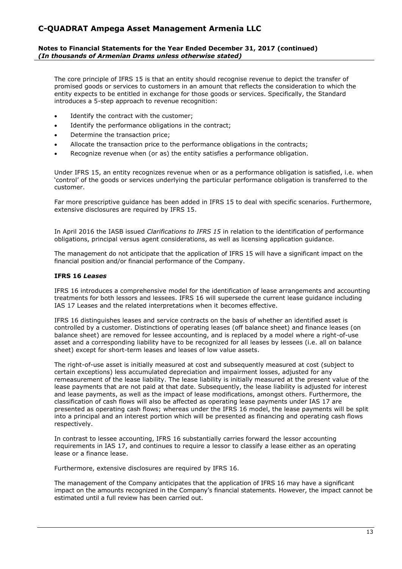### **Notes to Financial Statements for the Year Ended December 31, 2017 (continued)** *(In thousands of Armenian Drams unless otherwise stated)*

The core principle of IFRS 15 is that an entity should recognise revenue to depict the transfer of promised goods or services to customers in an amount that reflects the consideration to which the entity expects to be entitled in exchange for those goods or services. Specifically, the Standard introduces a 5-step approach to revenue recognition:

- Identify the contract with the customer;
- Identify the performance obligations in the contract;
- Determine the transaction price;
- Allocate the transaction price to the performance obligations in the contracts;
- Recognize revenue when (or as) the entity satisfies a performance obligation.

Under IFRS 15, an entity recognizes revenue when or as a performance obligation is satisfied, i.e. when 'control' of the goods or services underlying the particular performance obligation is transferred to the customer.

Far more prescriptive guidance has been added in IFRS 15 to deal with specific scenarios. Furthermore, extensive disclosures are required by IFRS 15.

In April 2016 the IASB issued *Clarifications to IFRS 15* in relation to the identification of performance obligations, principal versus agent considerations, as well as licensing application guidance.

The management do not anticipate that the application of IFRS 15 will have a significant impact on the financial position and/or financial performance of the Company.

# **IFRS 16** *Leases*

IFRS 16 introduces a comprehensive model for the identification of lease arrangements and accounting treatments for both lessors and lessees. IFRS 16 will supersede the current lease guidance including IAS 17 Leases and the related interpretations when it becomes effective.

IFRS 16 distinguishes leases and service contracts on the basis of whether an identified asset is controlled by a customer. Distinctions of operating leases (off balance sheet) and finance leases (on balance sheet) are removed for lessee accounting, and is replaced by a model where a right-of-use asset and a corresponding liability have to be recognized for all leases by lessees (i.e. all on balance sheet) except for short-term leases and leases of low value assets.

The right-of-use asset is initially measured at cost and subsequently measured at cost (subject to certain exceptions) less accumulated depreciation and impairment losses, adjusted for any remeasurement of the lease liability. The lease liability is initially measured at the present value of the lease payments that are not paid at that date. Subsequently, the lease liability is adjusted for interest and lease payments, as well as the impact of lease modifications, amongst others. Furthermore, the classification of cash flows will also be affected as operating lease payments under IAS 17 are presented as operating cash flows; whereas under the IFRS 16 model, the lease payments will be split into a principal and an interest portion which will be presented as financing and operating cash flows respectively.

In contrast to lessee accounting, IFRS 16 substantially carries forward the lessor accounting requirements in IAS 17, and continues to require a lessor to classify a lease either as an operating lease or a finance lease.

Furthermore, extensive disclosures are required by IFRS 16.

The management of the Company anticipates that the application of IFRS 16 may have a significant impact on the amounts recognized in the Company's financial statements. However, the impact cannot be estimated until a full review has been carried out.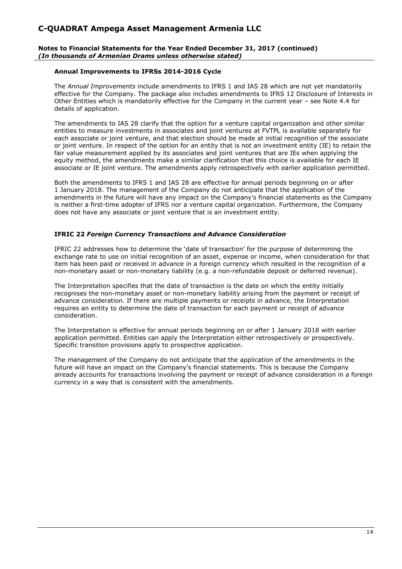### **Notes to Financial Statements for the Year Ended December 31, 2017 (continued)** *(In thousands of Armenian Drams unless otherwise stated)*

## **Annual Improvements to IFRSs 2014-2016 Cycle**

The *Annual Improvements* include amendments to IFRS 1 and IAS 28 which are not yet mandatorily effective for the Company. The package also includes amendments to IFRS 12 Disclosure of Interests in Other Entities which is mandatorily effective for the Company in the current year – see Note 4.4 for details of application.

The amendments to IAS 28 clarify that the option for a venture capital organization and other similar entities to measure investments in associates and joint ventures at FVTPL is available separately for each associate or joint venture, and that election should be made at initial recognition of the associate or joint venture. In respect of the option for an entity that is not an investment entity (IE) to retain the fair value measurement applied by its associates and joint ventures that are IEs when applying the equity method, the amendments make a similar clarification that this choice is available for each IE associate or IE joint venture. The amendments apply retrospectively with earlier application permitted.

Both the amendments to IFRS 1 and IAS 28 are effective for annual periods beginning on or after 1 January 2018. The management of the Company do not anticipate that the application of the amendments in the future will have any impact on the Company's financial statements as the Company is neither a first-time adopter of IFRS nor a venture capital organization. Furthermore, the Company does not have any associate or joint venture that is an investment entity.

# **IFRIC 22** *Foreign Currency Transactions and Advance Consideration*

IFRIC 22 addresses how to determine the 'date of transaction' for the purpose of determining the exchange rate to use on initial recognition of an asset, expense or income, when consideration for that item has been paid or received in advance in a foreign currency which resulted in the recognition of a non-monetary asset or non-monetary liability (e.g. a non-refundable deposit or deferred revenue).

The Interpretation specifies that the date of transaction is the date on which the entity initially recognises the non-monetary asset or non-monetary liability arising from the payment or receipt of advance consideration. If there are multiple payments or receipts in advance, the Interpretation requires an entity to determine the date of transaction for each payment or receipt of advance consideration.

The Interpretation is effective for annual periods beginning on or after 1 January 2018 with earlier application permitted. Entities can apply the Interpretation either retrospectively or prospectively. Specific transition provisions apply to prospective application.

The management of the Company do not anticipate that the application of the amendments in the future will have an impact on the Company's financial statements. This is because the Company already accounts for transactions involving the payment or receipt of advance consideration in a foreign currency in a way that is consistent with the amendments.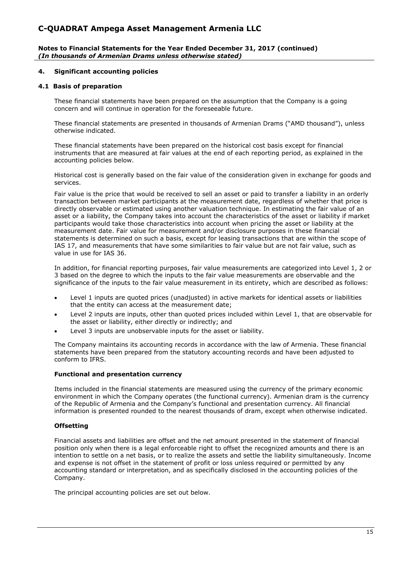## **Notes to Financial Statements for the Year Ended December 31, 2017 (continued)** *(In thousands of Armenian Drams unless otherwise stated)*

# <span id="page-16-0"></span>**4. Significant accounting policies**

## **4.1 Basis of preparation**

These financial statements have been prepared on the assumption that the Company is a going concern and will continue in operation for the foreseeable future.

These financial statements are presented in thousands of Armenian Drams ("AMD thousand"), unless otherwise indicated.

These financial statements have been prepared on the historical cost basis except for financial instruments that are measured at fair values at the end of each reporting period, as explained in the accounting policies below.

Historical cost is generally based on the fair value of the consideration given in exchange for goods and services.

Fair value is the price that would be received to sell an asset or paid to transfer a liability in an orderly transaction between market participants at the measurement date, regardless of whether that price is directly observable or estimated using another valuation technique. In estimating the fair value of an asset or a liability, the Company takes into account the characteristics of the asset or liability if market participants would take those characteristics into account when pricing the asset or liability at the measurement date. Fair value for measurement and/or disclosure purposes in these financial statements is determined on such a basis, except for leasing transactions that are within the scope of IAS 17, and measurements that have some similarities to fair value but are not fair value, such as value in use for IAS 36.

In addition, for financial reporting purposes, fair value measurements are categorized into Level 1, 2 or 3 based on the degree to which the inputs to the fair value measurements are observable and the significance of the inputs to the fair value measurement in its entirety, which are described as follows:

- Level 1 inputs are quoted prices (unadjusted) in active markets for identical assets or liabilities that the entity can access at the measurement date;
- Level 2 inputs are inputs, other than quoted prices included within Level 1, that are observable for the asset or liability, either directly or indirectly; and
- Level 3 inputs are unobservable inputs for the asset or liability.

The Company maintains its accounting records in accordance with the law of Armenia. These financial statements have been prepared from the statutory accounting records and have been adjusted to conform to IFRS.

### **Functional and presentation currency**

Items included in the financial statements are measured using the currency of the primary economic environment in which the Company operates (the functional currency). Armenian dram is the currency of the Republic of Armenia and the Company's functional and presentation currency. All financial information is presented rounded to the nearest thousands of dram, except when otherwise indicated.

# **Offsetting**

Financial assets and liabilities are offset and the net amount presented in the statement of financial position only when there is a legal enforceable right to offset the recognized amounts and there is an intention to settle on a net basis, or to realize the assets and settle the liability simultaneously. Income and expense is not offset in the statement of profit or loss unless required or permitted by any accounting standard or interpretation, and as specifically disclosed in the accounting policies of the Company.

The principal accounting policies are set out below.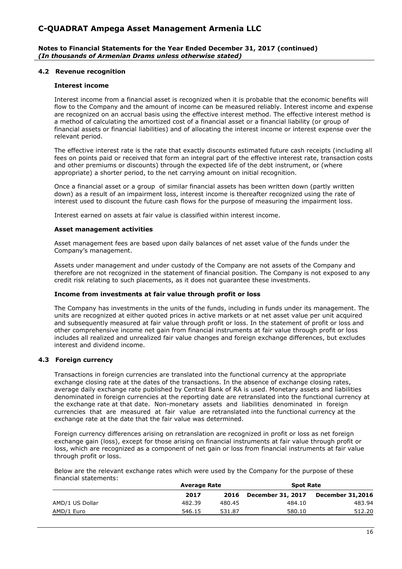## **Notes to Financial Statements for the Year Ended December 31, 2017 (continued)** *(In thousands of Armenian Drams unless otherwise stated)*

## **4.2 Revenue recognition**

## **Interest income**

Interest income from a financial asset is recognized when it is probable that the economic benefits will flow to the Company and the amount of income can be measured reliably. Interest income and expense are recognized on an accrual basis using the effective interest method. The effective interest method is a method of calculating the amortized cost of a financial asset or a financial liability (or group of financial assets or financial liabilities) and of allocating the interest income or interest expense over the relevant period.

The effective interest rate is the rate that exactly discounts estimated future cash receipts (including all fees on points paid or received that form an integral part of the effective interest rate, transaction costs and other premiums or discounts) through the expected life of the debt instrument, or (where appropriate) a shorter period, to the net carrying amount on initial recognition.

Once a financial asset or a group of similar financial assets has been written down (partly written down) as a result of an impairment loss, interest income is thereafter recognized using the rate of interest used to discount the future cash flows for the purpose of measuring the impairment loss.

Interest earned on assets at fair value is classified within interest income.

### **Asset management activities**

Asset management fees are based upon daily balances of net asset value of the funds under the Company's management.

Assets under management and under custody of the Company are not assets of the Company and therefore are not recognized in the statement of financial position. The Company is not exposed to any credit risk relating to such placements, as it does not guarantee these investments.

### **Income from investments at fair value through profit or loss**

The Company has investments in the units of the funds, including in funds under its management. The units are recognized at either quoted prices in active markets or at net asset value per unit acquired and subsequently measured at fair value through profit or loss. In the statement of profit or loss and other comprehensive income net gain from financial instruments at fair value through profit or loss includes all realized and unrealized fair value changes and foreign exchange differences, but excludes interest and dividend income.

# **4.3 Foreign currency**

Transactions in foreign currencies are translated into the functional currency at the appropriate exchange closing rate at the dates of the transactions. In the absence of exchange closing rates, average daily exchange rate published by Central Bank of RA is used. Monetary assets and liabilities denominated in foreign currencies at the reporting date are retranslated into the functional currency at the exchange rate at that date. Non-monetary assets and liabilities denominated in foreign currencies that are measured at fair value are retranslated into the functional currency at the exchange rate at the date that the fair value was determined.

Foreign currency differences arising on retranslation are recognized in profit or loss as net foreign exchange gain (loss), except for those arising on financial instruments at fair value through profit or loss, which are recognized as a component of net gain or loss from financial instruments at fair value through profit or loss.

Below are the relevant exchange rates which were used by the Company for the purpose of these financial statements:

|                 | <b>Average Rate</b> |        | <b>Spot Rate</b>         |                         |
|-----------------|---------------------|--------|--------------------------|-------------------------|
|                 | 2017                | 2016   | <b>December 31, 2017</b> | <b>December 31,2016</b> |
| AMD/1 US Dollar | 482.39              | 480.45 | 484.10                   | 483.94                  |
| AMD/1 Euro      | 546.15              | 531.87 | 580.10                   | 512.20                  |
|                 |                     |        |                          |                         |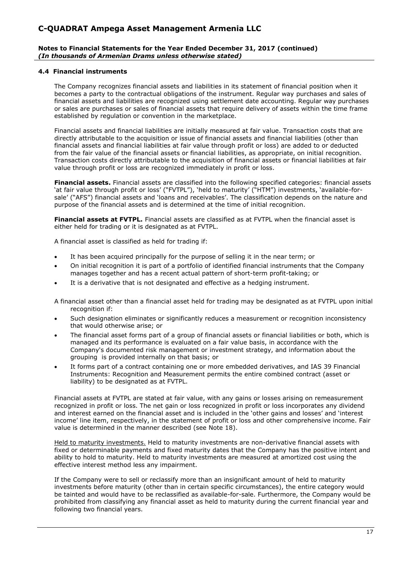## **Notes to Financial Statements for the Year Ended December 31, 2017 (continued)** *(In thousands of Armenian Drams unless otherwise stated)*

## **4.4 Financial instruments**

The Company recognizes financial assets and liabilities in its statement of financial position when it becomes a party to the contractual obligations of the instrument. Regular way purchases and sales of financial assets and liabilities are recognized using settlement date accounting. Regular way purchases or sales are purchases or sales of financial assets that require delivery of assets within the time frame established by regulation or convention in the marketplace.

Financial assets and financial liabilities are initially measured at fair value. Transaction costs that are directly attributable to the acquisition or issue of financial assets and financial liabilities (other than financial assets and financial liabilities at fair value through profit or loss) are added to or deducted from the fair value of the financial assets or financial liabilities, as appropriate, on initial recognition. Transaction costs directly attributable to the acquisition of financial assets or financial liabilities at fair value through profit or loss are recognized immediately in profit or loss.

**Financial assets.** Financial assets are classified into the following specified categories: financial assets 'at fair value through profit or loss' ("FVTPL"), 'held to maturity' ("HTM") investments, 'available-forsale' ("AFS") financial assets and 'loans and receivables'. The classification depends on the nature and purpose of the financial assets and is determined at the time of initial recognition.

**Financial assets at FVTPL.** Financial assets are classified as at FVTPL when the financial asset is either held for trading or it is designated as at FVTPL.

A financial asset is classified as held for trading if:

- It has been acquired principally for the purpose of selling it in the near term; or
- On initial recognition it is part of a portfolio of identified financial instruments that the Company manages together and has a recent actual pattern of short-term profit-taking; or
- It is a derivative that is not designated and effective as a hedging instrument.

A financial asset other than a financial asset held for trading may be designated as at FVTPL upon initial recognition if:

- Such designation eliminates or significantly reduces a measurement or recognition inconsistency that would otherwise arise; or
- The financial asset forms part of a group of financial assets or financial liabilities or both, which is managed and its performance is evaluated on a fair value basis, in accordance with the Company's documented risk management or investment strategy, and information about the grouping is provided internally on that basis; or
- It forms part of a contract containing one or more embedded derivatives, and IAS 39 Financial Instruments: Recognition and Measurement permits the entire combined contract (asset or liability) to be designated as at FVTPL.

Financial assets at FVTPL are stated at fair value, with any gains or losses arising on remeasurement recognized in profit or loss. The net gain or loss recognized in profit or loss incorporates any dividend and interest earned on the financial asset and is included in the 'other gains and losses' and 'interest income' line item, respectively, in the statement of profit or loss and other comprehensive income. Fair value is determined in the manner described (see Note 18).

Held to maturity investments. Held to maturity investments are non-derivative financial assets with fixed or determinable payments and fixed maturity dates that the Company has the positive intent and ability to hold to maturity. Held to maturity investments are measured at amortized cost using the effective interest method less any impairment.

If the Company were to sell or reclassify more than an insignificant amount of held to maturity investments before maturity (other than in certain specific circumstances), the entire category would be tainted and would have to be reclassified as available-for-sale. Furthermore, the Company would be prohibited from classifying any financial asset as held to maturity during the current financial year and following two financial years.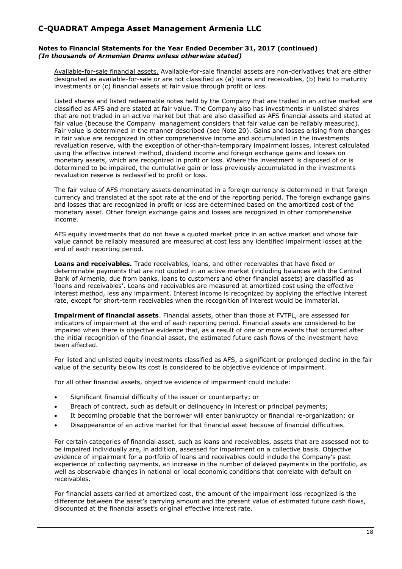## **Notes to Financial Statements for the Year Ended December 31, 2017 (continued)** *(In thousands of Armenian Drams unless otherwise stated)*

Available-for-sale financial assets. Available-for-sale financial assets are non-derivatives that are either designated as available-for-sale or are not classified as (a) loans and receivables, (b) held to maturity investments or (c) financial assets at fair value through profit or loss.

Listed shares and listed redeemable notes held by the Company that are traded in an active market are classified as AFS and are stated at fair value. The Company also has investments in unlisted shares that are not traded in an active market but that are also classified as AFS financial assets and stated at fair value (because the Company management considers that fair value can be reliably measured). Fair value is determined in the manner described (see Note 20). Gains and losses arising from changes in fair value are recognized in other comprehensive income and accumulated in the investments revaluation reserve, with the exception of other-than-temporary impairment losses, interest calculated using the effective interest method, dividend income and foreign exchange gains and losses on monetary assets, which are recognized in profit or loss. Where the investment is disposed of or is determined to be impaired, the cumulative gain or loss previously accumulated in the investments revaluation reserve is reclassified to profit or loss.

The fair value of AFS monetary assets denominated in a foreign currency is determined in that foreign currency and translated at the spot rate at the end of the reporting period. The foreign exchange gains and losses that are recognized in profit or loss are determined based on the amortized cost of the monetary asset. Other foreign exchange gains and losses are recognized in other comprehensive income.

AFS equity investments that do not have a quoted market price in an active market and whose fair value cannot be reliably measured are measured at cost less any identified impairment losses at the end of each reporting period.

**Loans and receivables.** Trade receivables, loans, and other receivables that have fixed or determinable payments that are not quoted in an active market (including balances with the Central Bank of Armenia, due from banks, loans to customers and other financial assets) are classified as 'loans and receivables'. Loans and receivables are measured at amortized cost using the effective interest method, less any impairment. Interest income is recognized by applying the effective interest rate, except for short-term receivables when the recognition of interest would be immaterial.

**Impairment of financial assets**. Financial assets, other than those at FVTPL, are assessed for indicators of impairment at the end of each reporting period. Financial assets are considered to be impaired when there is objective evidence that, as a result of one or more events that occurred after the initial recognition of the financial asset, the estimated future cash flows of the investment have been affected.

For listed and unlisted equity investments classified as AFS, a significant or prolonged decline in the fair value of the security below its cost is considered to be objective evidence of impairment.

For all other financial assets, objective evidence of impairment could include:

- Significant financial difficulty of the issuer or counterparty; or
- Breach of contract, such as default or delinquency in interest or principal payments;
- It becoming probable that the borrower will enter bankruptcy or financial re-organization; or
- Disappearance of an active market for that financial asset because of financial difficulties.

For certain categories of financial asset, such as loans and receivables, assets that are assessed not to be impaired individually are, in addition, assessed for impairment on a collective basis. Objective evidence of impairment for a portfolio of loans and receivables could include the Company's past experience of collecting payments, an increase in the number of delayed payments in the portfolio, as well as observable changes in national or local economic conditions that correlate with default on receivables.

For financial assets carried at amortized cost, the amount of the impairment loss recognized is the difference between the asset's carrying amount and the present value of estimated future cash flows, discounted at the financial asset's original effective interest rate.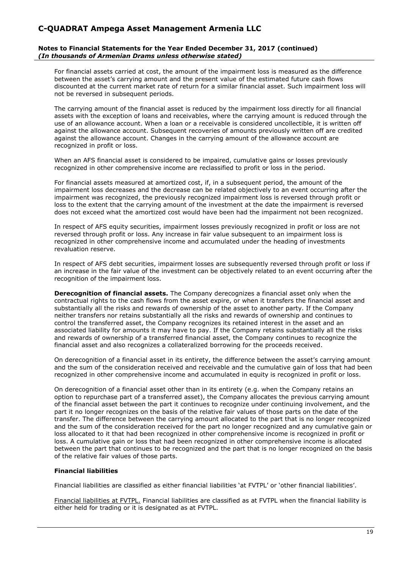## **Notes to Financial Statements for the Year Ended December 31, 2017 (continued)** *(In thousands of Armenian Drams unless otherwise stated)*

For financial assets carried at cost, the amount of the impairment loss is measured as the difference between the asset's carrying amount and the present value of the estimated future cash flows discounted at the current market rate of return for a similar financial asset. Such impairment loss will not be reversed in subsequent periods.

The carrying amount of the financial asset is reduced by the impairment loss directly for all financial assets with the exception of loans and receivables, where the carrying amount is reduced through the use of an allowance account. When a loan or a receivable is considered uncollectible, it is written off against the allowance account. Subsequent recoveries of amounts previously written off are credited against the allowance account. Changes in the carrying amount of the allowance account are recognized in profit or loss.

When an AFS financial asset is considered to be impaired, cumulative gains or losses previously recognized in other comprehensive income are reclassified to profit or loss in the period.

For financial assets measured at amortized cost, if, in a subsequent period, the amount of the impairment loss decreases and the decrease can be related objectively to an event occurring after the impairment was recognized, the previously recognized impairment loss is reversed through profit or loss to the extent that the carrying amount of the investment at the date the impairment is reversed does not exceed what the amortized cost would have been had the impairment not been recognized.

In respect of AFS equity securities, impairment losses previously recognized in profit or loss are not reversed through profit or loss. Any increase in fair value subsequent to an impairment loss is recognized in other comprehensive income and accumulated under the heading of investments revaluation reserve.

In respect of AFS debt securities, impairment losses are subsequently reversed through profit or loss if an increase in the fair value of the investment can be objectively related to an event occurring after the recognition of the impairment loss.

**Derecognition of financial assets.** The Company derecognizes a financial asset only when the contractual rights to the cash flows from the asset expire, or when it transfers the financial asset and substantially all the risks and rewards of ownership of the asset to another party. If the Company neither transfers nor retains substantially all the risks and rewards of ownership and continues to control the transferred asset, the Company recognizes its retained interest in the asset and an associated liability for amounts it may have to pay. If the Company retains substantially all the risks and rewards of ownership of a transferred financial asset, the Company continues to recognize the financial asset and also recognizes a collateralized borrowing for the proceeds received.

On derecognition of a financial asset in its entirety, the difference between the asset's carrying amount and the sum of the consideration received and receivable and the cumulative gain of loss that had been recognized in other comprehensive income and accumulated in equity is recognized in profit or loss.

On derecognition of a financial asset other than in its entirety (e.g. when the Company retains an option to repurchase part of a transferred asset), the Company allocates the previous carrying amount of the financial asset between the part it continues to recognize under continuing involvement, and the part it no longer recognizes on the basis of the relative fair values of those parts on the date of the transfer. The difference between the carrying amount allocated to the part that is no longer recognized and the sum of the consideration received for the part no longer recognized and any cumulative gain or loss allocated to it that had been recognized in other comprehensive income is recognized in profit or loss. A cumulative gain or loss that had been recognized in other comprehensive income is allocated between the part that continues to be recognized and the part that is no longer recognized on the basis of the relative fair values of those parts.

# **Financial liabilities**

Financial liabilities are classified as either financial liabilities 'at FVTPL' or 'other financial liabilities'.

Financial liabilities at FVTPL. Financial liabilities are classified as at FVTPL when the financial liability is either held for trading or it is designated as at FVTPL.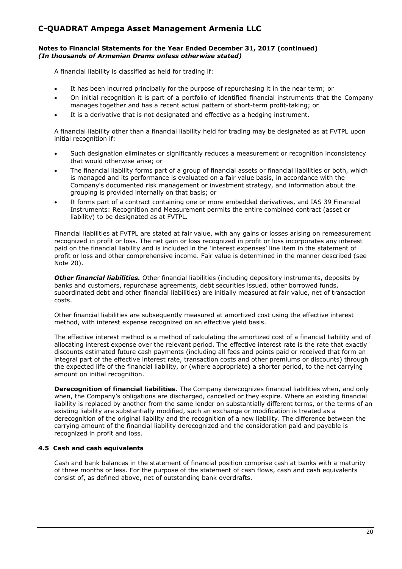## **Notes to Financial Statements for the Year Ended December 31, 2017 (continued)** *(In thousands of Armenian Drams unless otherwise stated)*

A financial liability is classified as held for trading if:

- It has been incurred principally for the purpose of repurchasing it in the near term; or
- On initial recognition it is part of a portfolio of identified financial instruments that the Company manages together and has a recent actual pattern of short-term profit-taking; or
- It is a derivative that is not designated and effective as a hedging instrument.

A financial liability other than a financial liability held for trading may be designated as at FVTPL upon initial recognition if:

- Such designation eliminates or significantly reduces a measurement or recognition inconsistency that would otherwise arise; or
- The financial liability forms part of a group of financial assets or financial liabilities or both, which is managed and its performance is evaluated on a fair value basis, in accordance with the Company's documented risk management or investment strategy, and information about the grouping is provided internally on that basis; or
- It forms part of a contract containing one or more embedded derivatives, and IAS 39 Financial Instruments: Recognition and Measurement permits the entire combined contract (asset or liability) to be designated as at FVTPL.

Financial liabilities at FVTPL are stated at fair value, with any gains or losses arising on remeasurement recognized in profit or loss. The net gain or loss recognized in profit or loss incorporates any interest paid on the financial liability and is included in the 'interest expenses' line item in the statement of profit or loss and other comprehensive income. Fair value is determined in the manner described (see Note 20).

*Other financial liabilities.* Other financial liabilities (including depository instruments, deposits by banks and customers, repurchase agreements, debt securities issued, other borrowed funds, subordinated debt and other financial liabilities) are initially measured at fair value, net of transaction costs.

Other financial liabilities are subsequently measured at amortized cost using the effective interest method, with interest expense recognized on an effective yield basis.

The effective interest method is a method of calculating the amortized cost of a financial liability and of allocating interest expense over the relevant period. The effective interest rate is the rate that exactly discounts estimated future cash payments (including all fees and points paid or received that form an integral part of the effective interest rate, transaction costs and other premiums or discounts) through the expected life of the financial liability, or (where appropriate) a shorter period, to the net carrying amount on initial recognition.

**Derecognition of financial liabilities.** The Company derecognizes financial liabilities when, and only when, the Company's obligations are discharged, cancelled or they expire. Where an existing financial liability is replaced by another from the same lender on substantially different terms, or the terms of an existing liability are substantially modified, such an exchange or modification is treated as a derecognition of the original liability and the recognition of a new liability. The difference between the carrying amount of the financial liability derecognized and the consideration paid and payable is recognized in profit and loss.

# **4.5 Cash and cash equivalents**

Cash and bank balances in the statement of financial position comprise cash at banks with a maturity of three months or less. For the purpose of the statement of cash flows, cash and cash equivalents consist of, as defined above, net of outstanding bank overdrafts.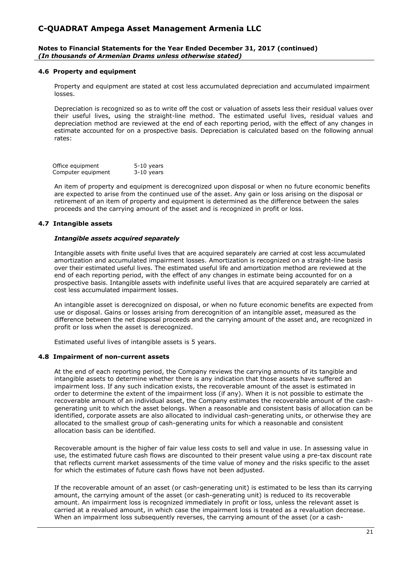#### **Notes to Financial Statements for the Year Ended December 31, 2017 (continued)** *(In thousands of Armenian Drams unless otherwise stated)*

#### **4.6 Property and equipment**

Property and equipment are stated at cost less accumulated depreciation and accumulated impairment losses.

Depreciation is recognized so as to write off the cost or valuation of assets less their residual values over their useful lives, using the straight-line method. The estimated useful lives, residual values and depreciation method are reviewed at the end of each reporting period, with the effect of any changes in estimate accounted for on a prospective basis. Depreciation is calculated based on the following annual rates:

Office equipment 5-10 years Computer equipment 3-10 years

An item of property and equipment is derecognized upon disposal or when no future economic benefits are expected to arise from the continued use of the asset. Any gain or loss arising on the disposal or retirement of an item of property and equipment is determined as the difference between the sales proceeds and the carrying amount of the asset and is recognized in profit or loss.

# **4.7 Intangible assets**

#### *Intangible assets acquired separately*

Intangible assets with finite useful lives that are acquired separately are carried at cost less accumulated amortization and accumulated impairment losses. Amortization is recognized on a straight-line basis over their estimated useful lives. The estimated useful life and amortization method are reviewed at the end of each reporting period, with the effect of any changes in estimate being accounted for on a prospective basis. Intangible assets with indefinite useful lives that are acquired separately are carried at cost less accumulated impairment losses.

An intangible asset is derecognized on disposal, or when no future economic benefits are expected from use or disposal. Gains or losses arising from derecognition of an intangible asset, measured as the difference between the net disposal proceeds and the carrying amount of the asset and, are recognized in profit or loss when the asset is derecognized.

Estimated useful lives of intangible assets is 5 years.

### **4.8 Impairment of non-current assets**

At the end of each reporting period, the Company reviews the carrying amounts of its tangible and intangible assets to determine whether there is any indication that those assets have suffered an impairment loss. If any such indication exists, the recoverable amount of the asset is estimated in order to determine the extent of the impairment loss (if any). When it is not possible to estimate the recoverable amount of an individual asset, the Company estimates the recoverable amount of the cashgenerating unit to which the asset belongs. When a reasonable and consistent basis of allocation can be identified, corporate assets are also allocated to individual cash-generating units, or otherwise they are allocated to the smallest group of cash-generating units for which a reasonable and consistent allocation basis can be identified.

Recoverable amount is the higher of fair value less costs to sell and value in use. In assessing value in use, the estimated future cash flows are discounted to their present value using a pre-tax discount rate that reflects current market assessments of the time value of money and the risks specific to the asset for which the estimates of future cash flows have not been adjusted.

If the recoverable amount of an asset (or cash-generating unit) is estimated to be less than its carrying amount, the carrying amount of the asset (or cash-generating unit) is reduced to its recoverable amount. An impairment loss is recognized immediately in profit or loss, unless the relevant asset is carried at a revalued amount, in which case the impairment loss is treated as a revaluation decrease. When an impairment loss subsequently reverses, the carrying amount of the asset (or a cash-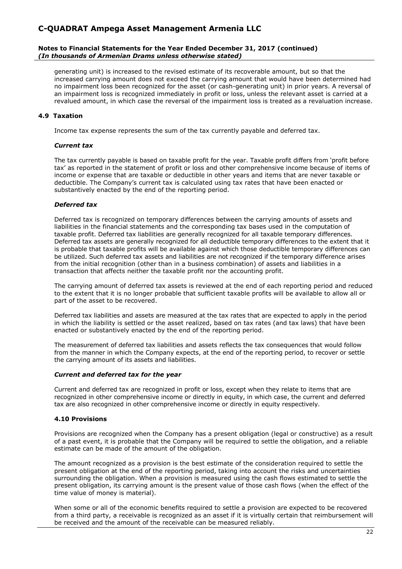### **Notes to Financial Statements for the Year Ended December 31, 2017 (continued)** *(In thousands of Armenian Drams unless otherwise stated)*

generating unit) is increased to the revised estimate of its recoverable amount, but so that the increased carrying amount does not exceed the carrying amount that would have been determined had no impairment loss been recognized for the asset (or cash-generating unit) in prior years. A reversal of an impairment loss is recognized immediately in profit or loss, unless the relevant asset is carried at a revalued amount, in which case the reversal of the impairment loss is treated as a revaluation increase.

# **4.9 Taxation**

Income tax expense represents the sum of the tax currently payable and deferred tax.

### *Current tax*

The tax currently payable is based on taxable profit for the year. Taxable profit differs from 'profit before tax' as reported in the statement of profit or loss and other comprehensive income because of items of income or expense that are taxable or deductible in other years and items that are never taxable or deductible. The Company's current tax is calculated using tax rates that have been enacted or substantively enacted by the end of the reporting period.

# *Deferred tax*

Deferred tax is recognized on temporary differences between the carrying amounts of assets and liabilities in the financial statements and the corresponding tax bases used in the computation of taxable profit. Deferred tax liabilities are generally recognized for all taxable temporary differences. Deferred tax assets are generally recognized for all deductible temporary differences to the extent that it is probable that taxable profits will be available against which those deductible temporary differences can be utilized. Such deferred tax assets and liabilities are not recognized if the temporary difference arises from the initial recognition (other than in a business combination) of assets and liabilities in a transaction that affects neither the taxable profit nor the accounting profit.

The carrying amount of deferred tax assets is reviewed at the end of each reporting period and reduced to the extent that it is no longer probable that sufficient taxable profits will be available to allow all or part of the asset to be recovered.

Deferred tax liabilities and assets are measured at the tax rates that are expected to apply in the period in which the liability is settled or the asset realized, based on tax rates (and tax laws) that have been enacted or substantively enacted by the end of the reporting period.

The measurement of deferred tax liabilities and assets reflects the tax consequences that would follow from the manner in which the Company expects, at the end of the reporting period, to recover or settle the carrying amount of its assets and liabilities.

# *Current and deferred tax for the year*

Current and deferred tax are recognized in profit or loss, except when they relate to items that are recognized in other comprehensive income or directly in equity, in which case, the current and deferred tax are also recognized in other comprehensive income or directly in equity respectively.

# **4.10 Provisions**

Provisions are recognized when the Company has a present obligation (legal or constructive) as a result of a past event, it is probable that the Company will be required to settle the obligation, and a reliable estimate can be made of the amount of the obligation.

The amount recognized as a provision is the best estimate of the consideration required to settle the present obligation at the end of the reporting period, taking into account the risks and uncertainties surrounding the obligation. When a provision is measured using the cash flows estimated to settle the present obligation, its carrying amount is the present value of those cash flows (when the effect of the time value of money is material).

When some or all of the economic benefits required to settle a provision are expected to be recovered from a third party, a receivable is recognized as an asset if it is virtually certain that reimbursement will be received and the amount of the receivable can be measured reliably.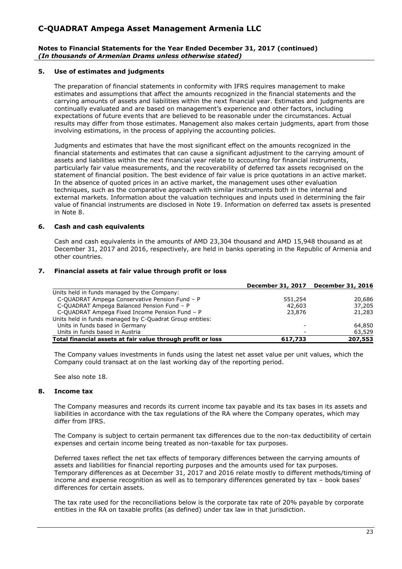### **Notes to Financial Statements for the Year Ended December 31, 2017 (continued)** *(In thousands of Armenian Drams unless otherwise stated)*

## <span id="page-24-0"></span>**5. Use of estimates and judgments**

The preparation of financial statements in conformity with IFRS requires management to make estimates and assumptions that affect the amounts recognized in the financial statements and the carrying amounts of assets and liabilities within the next financial year. Estimates and judgments are continually evaluated and are based on management's experience and other factors, including expectations of future events that are believed to be reasonable under the circumstances. Actual results may differ from those estimates. Management also makes certain judgments, apart from those involving estimations, in the process of applying the accounting policies.

Judgments and estimates that have the most significant effect on the amounts recognized in the financial statements and estimates that can cause a significant adjustment to the carrying amount of assets and liabilities within the next financial year relate to accounting for financial instruments, particularly fair value measurements, and the recoverability of deferred tax assets recognised on the statement of financial position. The best evidence of fair value is price quotations in an active market. In the absence of quoted prices in an active market, the management uses other evaluation techniques, such as the comparative approach with similar instruments both in the internal and external markets. Information about the valuation techniques and inputs used in determining the fair value of financial instruments are disclosed in Note 19. Information on deferred tax assets is presented in Note 8.

# <span id="page-24-1"></span>**6. Cash and cash equivalents**

Cash and cash equivalents in the amounts of AMD 23,304 thousand and AMD 15,948 thousand as at December 31, 2017 and 2016, respectively, are held in banks operating in the Republic of Armenia and other countries.

# <span id="page-24-2"></span>**7. Financial assets at fair value through profit or loss**

|                                                             |         | December 31, 2017 December 31, 2016 |
|-------------------------------------------------------------|---------|-------------------------------------|
| Units held in funds managed by the Company:                 |         |                                     |
| C-QUADRAT Ampega Conservative Pension Fund - P              | 551,254 | 20,686                              |
| C-QUADRAT Ampega Balanced Pension Fund - P                  | 42,603  | 37,205                              |
| C-QUADRAT Ampega Fixed Income Pension Fund - P              | 23,876  | 21,283                              |
| Units held in funds managed by C-Quadrat Group entities:    |         |                                     |
| Units in funds based in Germany                             |         | 64,850                              |
| Units in funds based in Austria                             |         | 63,529                              |
| Total financial assets at fair value through profit or loss | 617,733 | 207,553                             |

The Company values investments in funds using the latest net asset value per unit values, which the Company could transact at on the last working day of the reporting period.

See also note 18.

### <span id="page-24-3"></span>**8. Income tax**

The Company measures and records its current income tax payable and its tax bases in its assets and liabilities in accordance with the tax regulations of the RA where the Company operates, which may differ from IFRS.

The Company is subject to certain permanent tax differences due to the non-tax deductibility of certain expenses and certain income being treated as non-taxable for tax purposes.

Deferred taxes reflect the net tax effects of temporary differences between the carrying amounts of assets and liabilities for financial reporting purposes and the amounts used for tax purposes. Temporary differences as at December 31, 2017 and 2016 relate mostly to different methods/timing of income and expense recognition as well as to temporary differences generated by tax – book bases' differences for certain assets.

The tax rate used for the reconciliations below is the corporate tax rate of 20% payable by corporate entities in the RA on taxable profits (as defined) under tax law in that jurisdiction.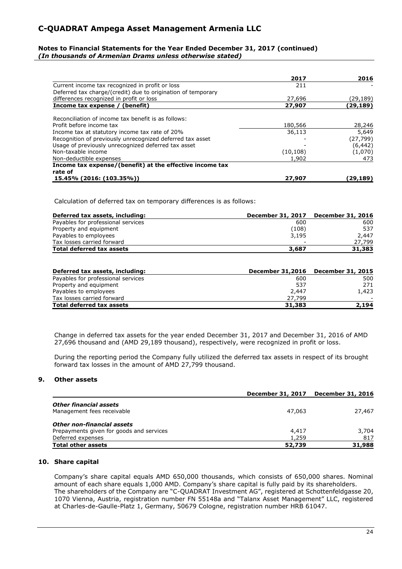#### **Notes to Financial Statements for the Year Ended December 31, 2017 (continued)** *(In thousands of Armenian Drams unless otherwise stated)*

|                                                              | 2017      | 2016      |
|--------------------------------------------------------------|-----------|-----------|
| Current income tax recognized in profit or loss              | 211       |           |
| Deferred tax charge/(credit) due to origination of temporary |           |           |
| differences recognized in profit or loss                     | 27,696    | (29,189)  |
| Income tax expense / (benefit)                               | 27,907    | (29,189)  |
| Reconciliation of income tax benefit is as follows:          |           |           |
| Profit before income tax                                     | 180,566   | 28,246    |
| Income tax at statutory income tax rate of 20%               | 36,113    | 5.649     |
| Recognition of previously unrecognized deferred tax asset    |           | (27, 799) |
| Usage of previously unrecognized deferred tax asset          |           | (6, 442)  |
| Non-taxable income                                           | (10, 108) | (1,070)   |
| Non-deductible expenses                                      | 1,902     | 473       |
| Income tax expense/(benefit) at the effective income tax     |           |           |
| rate of                                                      |           |           |
| 15.45% (2016: (103.35%))                                     | 27,907    | (29,189)  |

Calculation of deferred tax on temporary differences is as follows:

| December 31, 2017 December 31, 2016 |        |
|-------------------------------------|--------|
| 600                                 | 600    |
| (108)                               | 537    |
| 3,195                               | 2,447  |
|                                     | 27,799 |
| 3,687                               | 31,383 |
|                                     |        |

| Deferred tax assets, including:    |        | December 31, 2016 December 31, 2015 |
|------------------------------------|--------|-------------------------------------|
| Payables for professional services | 600    | 500                                 |
| Property and equipment             | 537    | 271                                 |
| Payables to employees              | 2,447  | 1,423                               |
| Tax losses carried forward         | 27.799 |                                     |
| Total deferred tax assets          | 31,383 | 2,194                               |

Change in deferred tax assets for the year ended December 31, 2017 and December 31, 2016 of AMD 27,696 thousand and (AMD 29,189 thousand), respectively, were recognized in profit or loss.

During the reporting period the Company fully utilized the deferred tax assets in respect of its brought forward tax losses in the amount of AMD 27,799 thousand.

### <span id="page-25-0"></span>**9. Other assets**

|                                          |        | December 31, 2017 December 31, 2016 |
|------------------------------------------|--------|-------------------------------------|
| <b>Other financial assets</b>            |        |                                     |
| Management fees receivable               | 47.063 | 27,467                              |
| Other non-financial assets               |        |                                     |
| Prepayments given for goods and services | 4,417  | 3,704                               |
| Deferred expenses                        | 1,259  | 817                                 |
| <b>Total other assets</b>                | 52,739 | 31,988                              |

# <span id="page-25-1"></span>**10. Share capital**

Company's share capital equals AMD 650,000 thousands, which consists of 650,000 shares. Nominal amount of each share equals 1,000 AMD. Company's share capital is fully paid by its shareholders. The shareholders of the Company are "C-QUADRAT Investment AG", registered at Schottenfeldgasse 20, 1070 Vienna, Austria, registration number FN 55148a and "Talanx Asset Management" LLC, registered at Charles-de-Gaulle-Platz 1, Germany, 50679 Cologne, registration number HRB 61047.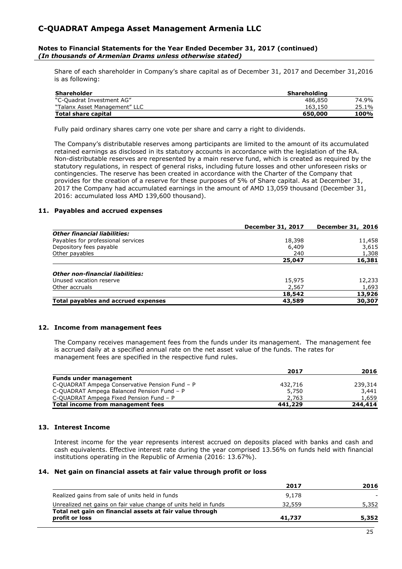### **Notes to Financial Statements for the Year Ended December 31, 2017 (continued)** *(In thousands of Armenian Drams unless otherwise stated)*

Share of each shareholder in Company's share capital as of December 31, 2017 and December 31,2016 is as following:

| <b>Shareholder</b>            | Shareholding |       |
|-------------------------------|--------------|-------|
| "C-Quadrat Investment AG"     | 486.850      | 74.9% |
| "Talanx Asset Management" LLC | 163.150      | 25.1% |
| <b>Total share capital</b>    | 650,000      | 100%  |

Fully paid ordinary shares carry one vote per share and carry a right to dividends.

The Company's distributable reserves among participants are limited to the amount of its accumulated retained earnings as disclosed in its statutory accounts in accordance with the legislation of the RA. Non-distributable reserves are represented by a main reserve fund, which is created as required by the statutory regulations, in respect of general risks, including future losses and other unforeseen risks or contingencies. The reserve has been created in accordance with the Charter of the Company that provides for the creation of a reserve for these purposes of 5% of Share capital. As at December 31, 2017 the Company had accumulated earnings in the amount of AMD 13,059 thousand (December 31, 2016: accumulated loss AMD 139,600 thousand).

#### <span id="page-26-0"></span>**11. Payables and accrued expenses**

| <b>December 31, 2017</b> | December 31, 2016 |
|--------------------------|-------------------|
|                          |                   |
| 18,398                   | 11,458            |
| 6,409                    | 3,615             |
| 240                      | 1,308             |
| 25,047                   | 16,381            |
|                          |                   |
| 15,975                   | 12,233            |
| 2,567                    | 1,693             |
| 18,542                   | 13,926            |
| 43,589                   | 30,307            |
|                          |                   |

#### <span id="page-26-1"></span>**12. Income from management fees**

The Company receives management fees from the funds under its management. The management fee is accrued daily at a specified annual rate on the net asset value of the funds. The rates for management fees are specified in the respective fund rules.

|                                                | 2017    | 2016    |
|------------------------------------------------|---------|---------|
| <b>Funds under management</b>                  |         |         |
| C-QUADRAT Ampega Conservative Pension Fund - P | 432,716 | 239,314 |
| C-QUADRAT Ampega Balanced Pension Fund - P     | 5,750   | 3,441   |
| C-QUADRAT Ampega Fixed Pension Fund - P        | 2,763   | 1,659   |
| <b>Total income from management fees</b>       | 441,229 | 244,414 |

### <span id="page-26-2"></span>**13. Interest Income**

Interest income for the year represents interest accrued on deposits placed with banks and cash and cash equivalents. Effective interest rate during the year comprised 13.56% on funds held with financial institutions operating in the Republic of Armenia (2016: 13.67%).

### <span id="page-26-3"></span>**14. Net gain on financial assets at fair value through profit or loss**

|                                                                            | 2017   | 2016  |
|----------------------------------------------------------------------------|--------|-------|
| Realized gains from sale of units held in funds                            | 9.178  |       |
| Unrealized net gains on fair value change of units held in funds           | 32,559 | 5,352 |
| Total net gain on financial assets at fair value through<br>profit or loss | 41,737 | 5,352 |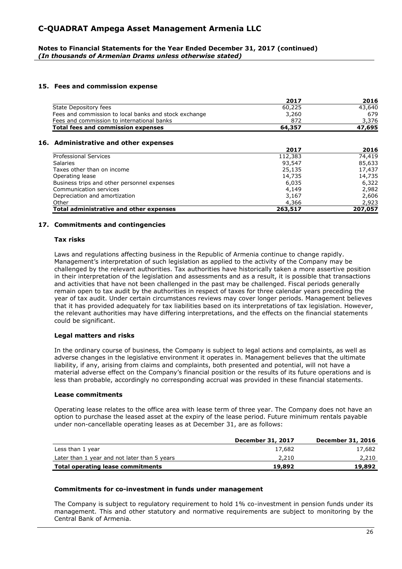### **Notes to Financial Statements for the Year Ended December 31, 2017 (continued)** *(In thousands of Armenian Drams unless otherwise stated)*

## <span id="page-27-0"></span>**15. Fees and commission expense**

|                                                       | 2017   | 2016   |
|-------------------------------------------------------|--------|--------|
| State Depository fees                                 | 60,225 | 43,640 |
| Fees and commission to local banks and stock exchange | 3,260  | 679    |
| Fees and commission to international banks            | 872    | 3,376  |
| <b>Total fees and commission expenses</b>             | 64,357 | 47,695 |

# <span id="page-27-1"></span>**16. Administrative and other expenses**

|                                             | 2017    | 2016    |
|---------------------------------------------|---------|---------|
| <b>Professional Services</b>                | 112,383 | 74,419  |
| <b>Salaries</b>                             | 93,547  | 85,633  |
| Taxes other than on income                  | 25,135  | 17,437  |
| Operating lease                             | 14,735  | 14,735  |
| Business trips and other personnel expenses | 6,035   | 6,322   |
| Communication services                      | 4,149   | 2,982   |
| Depreciation and amortization               | 3,167   | 2,606   |
| Other                                       | 4,366   | 2,923   |
| Total administrative and other expenses     | 263,517 | 207,057 |

### <span id="page-27-2"></span>**17. Commitments and contingencies**

#### **Tax risks**

Laws and regulations affecting business in the Republic of Armenia continue to change rapidly. Management's interpretation of such legislation as applied to the activity of the Company may be challenged by the relevant authorities. Tax authorities have historically taken a more assertive position in their interpretation of the legislation and assessments and as a result, it is possible that transactions and activities that have not been challenged in the past may be challenged. Fiscal periods generally remain open to tax audit by the authorities in respect of taxes for three calendar years preceding the year of tax audit. Under certain circumstances reviews may cover longer periods. Management believes that it has provided adequately for tax liabilities based on its interpretations of tax legislation. However, the relevant authorities may have differing interpretations, and the effects on the financial statements could be significant.

### **Legal matters and risks**

In the ordinary course of business, the Company is subject to legal actions and complaints, as well as adverse changes in the legislative environment it operates in. Management believes that the ultimate liability, if any, arising from claims and complaints, both presented and potential, will not have a material adverse effect on the Company's financial position or the results of its future operations and is less than probable, accordingly no corresponding accrual was provided in these financial statements.

### **Lease commitments**

Operating lease relates to the office area with lease term of three year. The Company does not have an option to purchase the leased asset at the expiry of the lease period. Future minimum rentals payable under non-cancellable operating leases as at December 31, are as follows:

|                                              | December 31, 2017 | <b>December 31, 2016</b> |
|----------------------------------------------|-------------------|--------------------------|
| Less than 1 year                             | 17,682            | 17,682                   |
| Later than 1 year and not later than 5 years | 2,210             | 2,210                    |
| Total operating lease commitments            | 19,892            | 19,892                   |

### **Commitments for co-investment in funds under management**

The Company is subject to regulatory requirement to hold 1% co-investment in pension funds under its management. This and other statutory and normative requirements are subject to monitoring by the Central Bank of Armenia.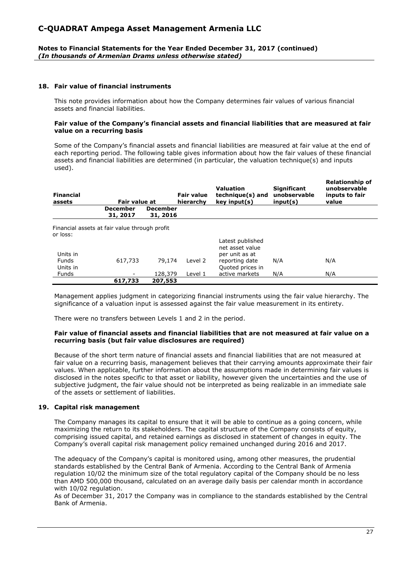### **Notes to Financial Statements for the Year Ended December 31, 2017 (continued)** *(In thousands of Armenian Drams unless otherwise stated)*

# <span id="page-28-0"></span>**18. Fair value of financial instruments**

This note provides information about how the Company determines fair values of various financial assets and financial liabilities.

#### **Fair value of the Company's financial assets and financial liabilities that are measured at fair value on a recurring basis**

Some of the Company's financial assets and financial liabilities are measured at fair value at the end of each reporting period. The following table gives information about how the fair values of these financial assets and financial liabilities are determined (in particular, the valuation technique(s) and inputs used).

| <b>Financial</b><br>assets | Fair value at                                 |                             | <b>Fair value</b><br>hierarchy | <b>Valuation</b><br>technique(s) and<br>key input(s) | <b>Significant</b><br>unobservable<br>input(s) | <b>Relationship of</b><br>unobservable<br>inputs to fair<br>value |
|----------------------------|-----------------------------------------------|-----------------------------|--------------------------------|------------------------------------------------------|------------------------------------------------|-------------------------------------------------------------------|
|                            | <b>December</b><br>31, 2017                   | <b>December</b><br>31, 2016 |                                |                                                      |                                                |                                                                   |
| or loss:                   | Financial assets at fair value through profit |                             |                                |                                                      |                                                |                                                                   |
| Units in                   |                                               |                             |                                | Latest published<br>net asset value                  |                                                |                                                                   |
| <b>Funds</b>               | 617,733                                       | 79,174                      | Level 2                        | per unit as at<br>reporting date                     | N/A                                            | N/A                                                               |
| Units in                   |                                               |                             |                                | Quoted prices in                                     |                                                |                                                                   |
| Funds                      |                                               | 128,379                     | Level 1                        | active markets                                       | N/A                                            | N/A                                                               |
|                            | 617.733                                       | 207.553                     |                                |                                                      |                                                |                                                                   |

Management applies judgment in categorizing financial instruments using the fair value hierarchy. The significance of a valuation input is assessed against the fair value measurement in its entirety.

There were no transfers between Levels 1 and 2 in the period.

#### **Fair value of financial assets and financial liabilities that are not measured at fair value on a recurring basis (but fair value disclosures are required)**

Because of the short term nature of financial assets and financial liabilities that are not measured at fair value on a recurring basis, management believes that their carrying amounts approximate their fair values. When applicable, further information about the assumptions made in determining fair values is disclosed in the notes specific to that asset or liability, however given the uncertainties and the use of subjective judgment, the fair value should not be interpreted as being realizable in an immediate sale of the assets or settlement of liabilities.

# <span id="page-28-1"></span>**19. Capital risk management**

The Company manages its capital to ensure that it will be able to continue as a going concern, while maximizing the return to its stakeholders. The capital structure of the Company consists of equity, comprising issued capital, and retained earnings as disclosed in statement of changes in equity. The Company's overall capital risk management policy remained unchanged during 2016 and 2017.

The adequacy of the Company's capital is monitored using, among other measures, the prudential standards established by the Central Bank of Armenia. According to the Central Bank of Armenia regulation 10/02 the minimum size of the total regulatory capital of the Company should be no less than AMD 500,000 thousand, calculated on an average daily basis per calendar month in accordance with 10/02 regulation.

As of December 31, 2017 the Company was in compliance to the standards established by the Central Bank of Armenia.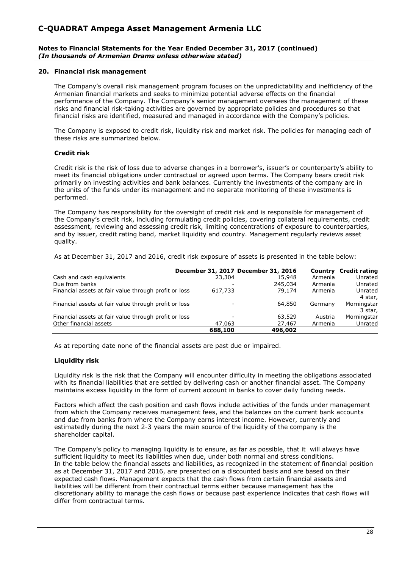### **Notes to Financial Statements for the Year Ended December 31, 2017 (continued)** *(In thousands of Armenian Drams unless otherwise stated)*

# <span id="page-29-0"></span>**20. Financial risk management**

The Company's overall risk management program focuses on the unpredictability and inefficiency of the Armenian financial markets and seeks to minimize potential adverse effects on the financial performance of the Company. The Company's senior management oversees the management of these risks and financial risk-taking activities are governed by appropriate policies and procedures so that financial risks are identified, measured and managed in accordance with the Company's policies.

The Company is exposed to credit risk, liquidity risk and market risk. The policies for managing each of these risks are summarized below.

# **Credit risk**

Credit risk is the risk of loss due to adverse changes in a borrower's, issuer's or counterparty's ability to meet its financial obligations under contractual or agreed upon terms. The Company bears credit risk primarily on investing activities and bank balances. Currently the investments of the company are in the units of the funds under its management and no separate monitoring of these investments is performed.

The Company has responsibility for the oversight of credit risk and is responsible for management of the Company's credit risk, including formulating credit policies, covering collateral requirements, credit assessment, reviewing and assessing credit risk, limiting concentrations of exposure to counterparties, and by issuer, credit rating band, market liquidity and country. Management regularly reviews asset quality.

As at December 31, 2017 and 2016, credit risk exposure of assets is presented in the table below:

|                                                       |         | December 31, 2017 December 31, 2016 | Country | <b>Credit rating</b>   |
|-------------------------------------------------------|---------|-------------------------------------|---------|------------------------|
| Cash and cash equivalents                             | 23,304  | 15,948                              | Armenia | Unrated                |
| Due from banks                                        |         | 245,034                             | Armenia | Unrated                |
| Financial assets at fair value through profit or loss | 617,733 | 79.174                              | Armenia | Unrated<br>4 star,     |
| Financial assets at fair value through profit or loss | -       | 64,850                              | Germany | Morningstar<br>3 star, |
| Financial assets at fair value through profit or loss |         | 63,529                              | Austria | Morningstar            |
| Other financial assets                                | 47,063  | 27,467                              | Armenia | Unrated                |
|                                                       | 688,100 | 496,002                             |         |                        |

As at reporting date none of the financial assets are past due or impaired.

# **Liquidity risk**

Liquidity risk is the risk that the Company will encounter difficulty in meeting the obligations associated with its financial liabilities that are settled by delivering cash or another financial asset. The Company maintains excess liquidity in the form of current account in banks to cover daily funding needs.

Factors which affect the cash position and cash flows include activities of the funds under management from which the Company receives management fees, and the balances on the current bank accounts and due from banks from where the Company earns interest income. However, currently and estimatedly during the next 2-3 years the main source of the liquidity of the company is the shareholder capital.

The Company's policy to managing liquidity is to ensure, as far as possible, that it will always have sufficient liquidity to meet its liabilities when due, under both normal and stress conditions. In the table below the financial assets and liabilities, as recognized in the statement of financial position as at December 31, 2017 and 2016, are presented on a discounted basis and are based on their expected cash flows. Management expects that the cash flows from certain financial assets and liabilities will be different from their contractual terms either because management has the discretionary ability to manage the cash flows or because past experience indicates that cash flows will differ from contractual terms.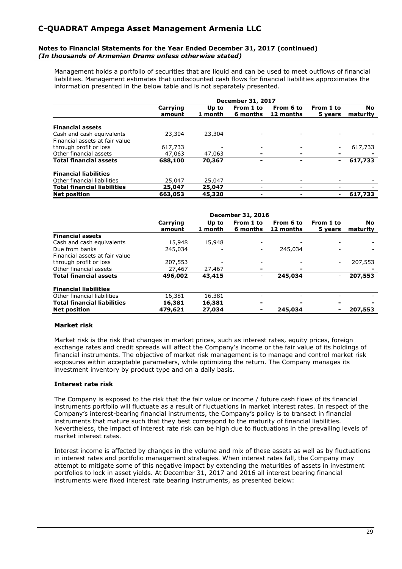### **Notes to Financial Statements for the Year Ended December 31, 2017 (continued)** *(In thousands of Armenian Drams unless otherwise stated)*

Management holds a portfolio of securities that are liquid and can be used to meet outflows of financial liabilities. Management estimates that undiscounted cash flows for financial liabilities approximates the information presented in the below table and is not separately presented.

|                                    | <b>December 31, 2017</b> |                  |                       |                        |                      |                |
|------------------------------------|--------------------------|------------------|-----------------------|------------------------|----------------------|----------------|
|                                    | Carrying<br>amount       | Up to<br>1 month | From 1 to<br>6 months | From 6 to<br>12 months | From 1 to<br>5 years | No<br>maturity |
| <b>Financial assets</b>            |                          |                  |                       |                        |                      |                |
| Cash and cash equivalents          | 23,304                   | 23,304           |                       |                        |                      |                |
| Financial assets at fair value     |                          |                  |                       |                        |                      |                |
| through profit or loss             | 617,733                  |                  |                       |                        |                      | 617,733        |
| Other financial assets             | 47,063                   | 47,063           | -                     |                        |                      |                |
| <b>Total financial assets</b>      | 688,100                  | 70,367           | -                     | -                      |                      | 617,733        |
| <b>Financial liabilities</b>       |                          |                  |                       |                        |                      |                |
| Other financial liabilities        | 25,047                   | 25,047           |                       | -                      |                      |                |
| <b>Total financial liabilities</b> | 25,047                   | 25,047           | ۰                     | -                      |                      |                |
| <b>Net position</b>                | 663,053                  | 45,320           |                       |                        |                      | 617,733        |

|                                    | <b>December 31, 2016</b> |                  |                       |                        |                      |                |
|------------------------------------|--------------------------|------------------|-----------------------|------------------------|----------------------|----------------|
|                                    | Carrying<br>amount       | Up to<br>1 month | From 1 to<br>6 months | From 6 to<br>12 months | From 1 to<br>5 years | No<br>maturity |
| <b>Financial assets</b>            |                          |                  |                       |                        |                      |                |
| Cash and cash equivalents          | 15,948                   | 15,948           |                       |                        |                      |                |
| Due from banks                     | 245,034                  |                  |                       | 245,034                |                      |                |
| Financial assets at fair value     |                          |                  |                       |                        |                      |                |
| through profit or loss             | 207,553                  |                  |                       |                        |                      | 207,553        |
| Other financial assets             | 27,467                   | 27,467           |                       |                        |                      |                |
| <b>Total financial assets</b>      | 496,002                  | 43,415           | ۰                     | 245,034                |                      | 207,553        |
| <b>Financial liabilities</b>       |                          |                  |                       |                        |                      |                |
| Other financial liabilities        | 16,381                   | 16,381           |                       |                        |                      |                |
| <b>Total financial liabilities</b> | 16,381                   | 16,381           |                       |                        |                      |                |
| <b>Net position</b>                | 479,621                  | 27,034           |                       | 245,034                |                      | 207,553        |

# **Market risk**

Market risk is the risk that changes in market prices, such as interest rates, equity prices, foreign exchange rates and credit spreads will affect the Company's income or the fair value of its holdings of financial instruments. The objective of market risk management is to manage and control market risk exposures within acceptable parameters, while optimizing the return. The Company manages its investment inventory by product type and on a daily basis.

# **Interest rate risk**

The Company is exposed to the risk that the fair value or income / future cash flows of its financial instruments portfolio will fluctuate as a result of fluctuations in market interest rates. In respect of the Company's interest-bearing financial instruments, the Company's policy is to transact in financial instruments that mature such that they best correspond to the maturity of financial liabilities. Nevertheless, the impact of interest rate risk can be high due to fluctuations in the prevailing levels of market interest rates.

Interest income is affected by changes in the volume and mix of these assets as well as by fluctuations in interest rates and portfolio management strategies. When interest rates fall, the Company may attempt to mitigate some of this negative impact by extending the maturities of assets in investment portfolios to lock in asset yields. At December 31, 2017 and 2016 all interest bearing financial instruments were fixed interest rate bearing instruments, as presented below: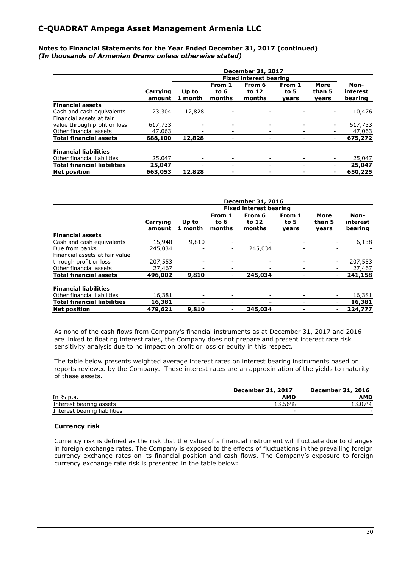#### **Notes to Financial Statements for the Year Ended December 31, 2017 (continued)** *(In thousands of Armenian Drams unless otherwise stated)*

|                                    | <b>December 31, 2017</b>      |                  |                          |                             |                         |                         |                             |
|------------------------------------|-------------------------------|------------------|--------------------------|-----------------------------|-------------------------|-------------------------|-----------------------------|
|                                    | <b>Fixed interest bearing</b> |                  |                          |                             |                         |                         |                             |
|                                    | Carrying<br>amount            | Up to<br>1 month | From 1<br>to 6<br>months | From 6<br>to $12$<br>months | From 1<br>to 5<br>years | More<br>than 5<br>vears | Non-<br>interest<br>bearing |
| <b>Financial assets</b>            |                               |                  |                          |                             |                         |                         |                             |
| Cash and cash equivalents          | 23,304                        | 12,828           |                          |                             |                         |                         | 10,476                      |
| Financial assets at fair           |                               |                  |                          |                             |                         |                         |                             |
| value through profit or loss       | 617,733                       |                  |                          |                             | -                       | $\overline{a}$          | 617,733                     |
| Other financial assets             | 47,063                        |                  |                          |                             | -                       |                         | 47,063                      |
| <b>Total financial assets</b>      | 688,100                       | 12,828           | -                        |                             | -                       | -                       | 675,272                     |
| <b>Financial liabilities</b>       |                               |                  |                          |                             |                         |                         |                             |
| Other financial liabilities        | 25,047                        |                  |                          |                             | -                       |                         | 25,047                      |
| <b>Total financial liabilities</b> | 25,047                        |                  |                          |                             | -                       | -                       | 25,047                      |
| <b>Net position</b>                | 663,053                       | 12,828           |                          |                             |                         |                         | 650,225                     |

|                                    | <b>December 31, 2016</b>      |                  |                          |                           |                         |                          |                             |
|------------------------------------|-------------------------------|------------------|--------------------------|---------------------------|-------------------------|--------------------------|-----------------------------|
|                                    | <b>Fixed interest bearing</b> |                  |                          |                           |                         |                          |                             |
|                                    | Carrying<br>amount            | Up to<br>1 month | From 1<br>to 6<br>months | From 6<br>to 12<br>months | From 1<br>to 5<br>vears | More<br>than 5<br>vears  | Non-<br>interest<br>bearing |
| <b>Financial assets</b>            |                               |                  |                          |                           |                         |                          |                             |
| Cash and cash equivalents          | 15,948                        | 9,810            |                          |                           |                         |                          | 6,138                       |
| Due from banks                     | 245,034                       |                  |                          | 245,034                   | ۰                       | $\overline{\phantom{0}}$ |                             |
| Financial assets at fair value     |                               |                  |                          |                           |                         |                          |                             |
| through profit or loss             | 207,553                       |                  |                          |                           | $\overline{a}$          |                          | 207,553                     |
| Other financial assets             | 27,467                        |                  |                          |                           | -                       | $\overline{\phantom{a}}$ | 27,467                      |
| <b>Total financial assets</b>      | 496,002                       | 9,810            |                          | 245,034                   |                         | $\sim$                   | 241,158                     |
| <b>Financial liabilities</b>       |                               |                  |                          |                           |                         |                          |                             |
| Other financial liabilities        | 16,381                        |                  |                          |                           | -                       | -                        | 16,381                      |
| <b>Total financial liabilities</b> | 16,381                        | -                |                          |                           | -                       | $\overline{\phantom{a}}$ | 16,381                      |
| <b>Net position</b>                | 479,621                       | 9,810            |                          | 245,034                   |                         | -                        | 224,777                     |

As none of the cash flows from Company's financial instruments as at December 31, 2017 and 2016 are linked to floating interest rates, the Company does not prepare and present interest rate risk sensitivity analysis due to no impact on profit or loss or equity in this respect.

The table below presents weighted average interest rates on interest bearing instruments based on reports reviewed by the Company. These interest rates are an approximation of the yields to maturity of these assets.

|                              | December 31, 2017 | <b>December 31, 2016</b> |
|------------------------------|-------------------|--------------------------|
| In $%$ p.a.                  | AMD               | AMD                      |
| Interest bearing assets      | 13.56%            | 13.07%                   |
| Interest bearing liabilities | -                 |                          |

# **Currency risk**

Currency risk is defined as the risk that the value of a financial instrument will fluctuate due to changes in foreign exchange rates. The Company is exposed to the effects of fluctuations in the prevailing foreign currency exchange rates on its financial position and cash flows. The Company's exposure to foreign currency exchange rate risk is presented in the table below: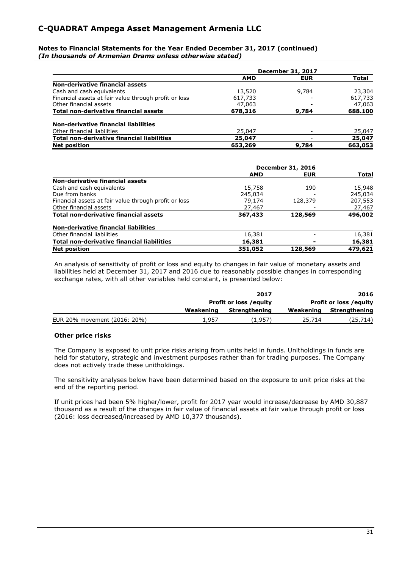#### **Notes to Financial Statements for the Year Ended December 31, 2017 (continued)** *(In thousands of Armenian Drams unless otherwise stated)*

|                                                       | <b>December 31, 2017</b> |            |              |
|-------------------------------------------------------|--------------------------|------------|--------------|
|                                                       | <b>AMD</b>               | <b>EUR</b> | <b>Total</b> |
| Non-derivative financial assets                       |                          |            |              |
| Cash and cash equivalents                             | 13,520                   | 9,784      | 23,304       |
| Financial assets at fair value through profit or loss | 617,733                  |            | 617,733      |
| Other financial assets                                | 47,063                   |            | 47,063       |
| <b>Total non-derivative financial assets</b>          | 678,316                  | 9,784      | 688.100      |
| Non-derivative financial liabilities                  |                          |            |              |
| Other financial liabilities                           | 25,047                   |            | 25,047       |
| <b>Total non-derivative financial liabilities</b>     | 25,047                   |            | 25,047       |
| <b>Net position</b>                                   | 653,269                  | 9,784      | 663,053      |

|                                                       | December 31, 2016 |            |         |
|-------------------------------------------------------|-------------------|------------|---------|
|                                                       | <b>AMD</b>        | <b>EUR</b> | Total   |
| <b>Non-derivative financial assets</b>                |                   |            |         |
| Cash and cash equivalents                             | 15,758            | 190        | 15,948  |
| Due from banks                                        | 245,034           |            | 245,034 |
| Financial assets at fair value through profit or loss | 79,174            | 128,379    | 207,553 |
| Other financial assets                                | 27,467            |            | 27,467  |
| <b>Total non-derivative financial assets</b>          | 367,433           | 128,569    | 496,002 |
| Non-derivative financial liabilities                  |                   |            |         |
| Other financial liabilities                           | 16,381            |            | 16,381  |
| <b>Total non-derivative financial liabilities</b>     | 16,381            |            | 16,381  |
| <b>Net position</b>                                   | 351,052           | 128,569    | 479,621 |

An analysis of sensitivity of profit or loss and equity to changes in fair value of monetary assets and liabilities held at December 31, 2017 and 2016 due to reasonably possible changes in corresponding exchange rates, with all other variables held constant, is presented below:

|                              |                                | 2017          |                                | 2016          |
|------------------------------|--------------------------------|---------------|--------------------------------|---------------|
|                              | <b>Profit or loss / equity</b> |               | <b>Profit or loss / equity</b> |               |
|                              | Weakening                      | Strengthening | Weakening                      | Strengthening |
| EUR 20% movement (2016: 20%) | 1.957                          | 1.957         | 25,714                         | (25, 714)     |

### **Other price risks**

The Company is exposed to unit price risks arising from units held in funds. Unitholdings in funds are held for statutory, strategic and investment purposes rather than for trading purposes. The Company does not actively trade these unitholdings.

The sensitivity analyses below have been determined based on the exposure to unit price risks at the end of the reporting period.

If unit prices had been 5% higher/lower, profit for 2017 year would increase/decrease by AMD 30,887 thousand as a result of the changes in fair value of financial assets at fair value through profit or loss (2016: loss decreased/increased by AMD 10,377 thousands).